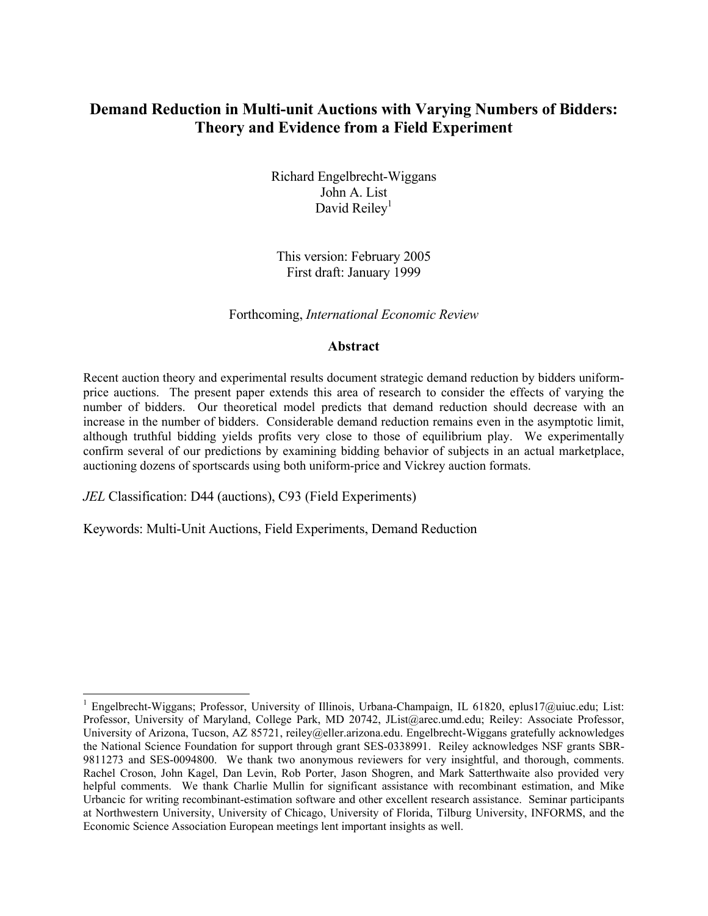# **Demand Reduction in Multi-unit Auctions with Varying Numbers of Bidders: Theory and Evidence from a Field Experiment**

 Richard Engelbrecht-Wiggans John A. List David Reiley<sup>1</sup>

This version: February 2005 First draft: January 1999

### Forthcoming, *International Economic Review*

### **Abstract**

Recent auction theory and experimental results document strategic demand reduction by bidders uniformprice auctions. The present paper extends this area of research to consider the effects of varying the number of bidders. Our theoretical model predicts that demand reduction should decrease with an increase in the number of bidders. Considerable demand reduction remains even in the asymptotic limit, although truthful bidding yields profits very close to those of equilibrium play. We experimentally confirm several of our predictions by examining bidding behavior of subjects in an actual marketplace, auctioning dozens of sportscards using both uniform-price and Vickrey auction formats.

*JEL* Classification: D44 (auctions), C93 (Field Experiments)

i

Keywords: Multi-Unit Auctions, Field Experiments, Demand Reduction

<sup>&</sup>lt;sup>1</sup> Engelbrecht-Wiggans; Professor, University of Illinois, Urbana-Champaign, IL 61820, eplus17@uiuc.edu; List: Professor, University of Maryland, College Park, MD 20742, JList@arec.umd.edu; Reiley: Associate Professor, University of Arizona, Tucson, AZ 85721, reiley@eller.arizona.edu. Engelbrecht-Wiggans gratefully acknowledges the National Science Foundation for support through grant SES-0338991. Reiley acknowledges NSF grants SBR-9811273 and SES-0094800. We thank two anonymous reviewers for very insightful, and thorough, comments. Rachel Croson, John Kagel, Dan Levin, Rob Porter, Jason Shogren, and Mark Satterthwaite also provided very helpful comments. We thank Charlie Mullin for significant assistance with recombinant estimation, and Mike Urbancic for writing recombinant-estimation software and other excellent research assistance. Seminar participants at Northwestern University, University of Chicago, University of Florida, Tilburg University, INFORMS, and the Economic Science Association European meetings lent important insights as well.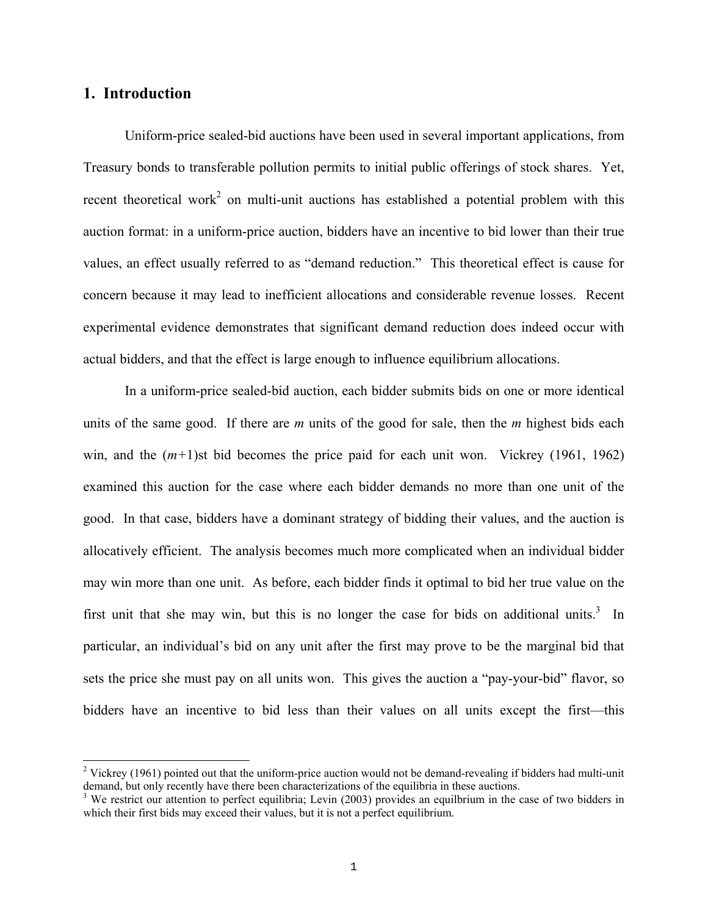# **1. Introduction**

i

Uniform-price sealed-bid auctions have been used in several important applications, from Treasury bonds to transferable pollution permits to initial public offerings of stock shares. Yet, recent theoretical work<sup>2</sup> on multi-unit auctions has established a potential problem with this auction format: in a uniform-price auction, bidders have an incentive to bid lower than their true values, an effect usually referred to as "demand reduction." This theoretical effect is cause for concern because it may lead to inefficient allocations and considerable revenue losses. Recent experimental evidence demonstrates that significant demand reduction does indeed occur with actual bidders, and that the effect is large enough to influence equilibrium allocations.

In a uniform-price sealed-bid auction, each bidder submits bids on one or more identical units of the same good. If there are *m* units of the good for sale, then the *m* highest bids each win, and the (*m+*1)st bid becomes the price paid for each unit won. Vickrey (1961, 1962) examined this auction for the case where each bidder demands no more than one unit of the good. In that case, bidders have a dominant strategy of bidding their values, and the auction is allocatively efficient. The analysis becomes much more complicated when an individual bidder may win more than one unit. As before, each bidder finds it optimal to bid her true value on the first unit that she may win, but this is no longer the case for bids on additional units.<sup>3</sup> In particular, an individual's bid on any unit after the first may prove to be the marginal bid that sets the price she must pay on all units won. This gives the auction a "pay-your-bid" flavor, so bidders have an incentive to bid less than their values on all units except the first—this

<sup>&</sup>lt;sup>2</sup> Vickrey (1961) pointed out that the uniform-price auction would not be demand-revealing if bidders had multi-unit demand, but only recently have there been characterizations of the equilibria in these auctions.<br><sup>3</sup> We restrict our attention to perfect equilibria; Levin (2003) provides an equilbrium in the case of two bidders in

which their first bids may exceed their values, but it is not a perfect equilibrium.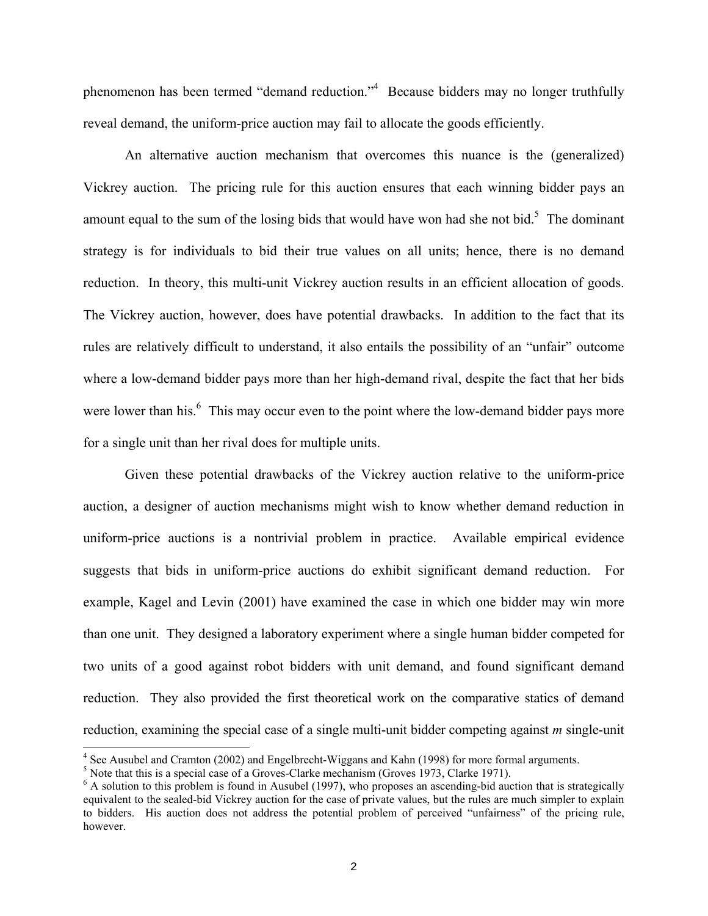phenomenon has been termed "demand reduction."<sup>4</sup> Because bidders may no longer truthfully reveal demand, the uniform-price auction may fail to allocate the goods efficiently.

An alternative auction mechanism that overcomes this nuance is the (generalized) Vickrey auction. The pricing rule for this auction ensures that each winning bidder pays an amount equal to the sum of the losing bids that would have won had she not bid.<sup>5</sup> The dominant strategy is for individuals to bid their true values on all units; hence, there is no demand reduction. In theory, this multi-unit Vickrey auction results in an efficient allocation of goods. The Vickrey auction, however, does have potential drawbacks. In addition to the fact that its rules are relatively difficult to understand, it also entails the possibility of an "unfair" outcome where a low-demand bidder pays more than her high-demand rival, despite the fact that her bids were lower than his.<sup>6</sup> This may occur even to the point where the low-demand bidder pays more for a single unit than her rival does for multiple units.

Given these potential drawbacks of the Vickrey auction relative to the uniform-price auction, a designer of auction mechanisms might wish to know whether demand reduction in uniform-price auctions is a nontrivial problem in practice. Available empirical evidence suggests that bids in uniform-price auctions do exhibit significant demand reduction. For example, Kagel and Levin (2001) have examined the case in which one bidder may win more than one unit. They designed a laboratory experiment where a single human bidder competed for two units of a good against robot bidders with unit demand, and found significant demand reduction. They also provided the first theoretical work on the comparative statics of demand reduction, examining the special case of a single multi-unit bidder competing against *m* single-unit

<sup>&</sup>lt;sup>4</sup> See Ausubel and Cramton (2002) and Engelbrecht-Wiggans and Kahn (1998) for more formal arguments.

 $<sup>5</sup>$  Note that this is a special case of a Groves-Clarke mechanism (Groves 1973, Clarke 1971).</sup>

 $6$  A solution to this problem is found in Ausubel (1997), who proposes an ascending-bid auction that is strategically equivalent to the sealed-bid Vickrey auction for the case of private values, but the rules are much simpler to explain to bidders. His auction does not address the potential problem of perceived "unfairness" of the pricing rule, however.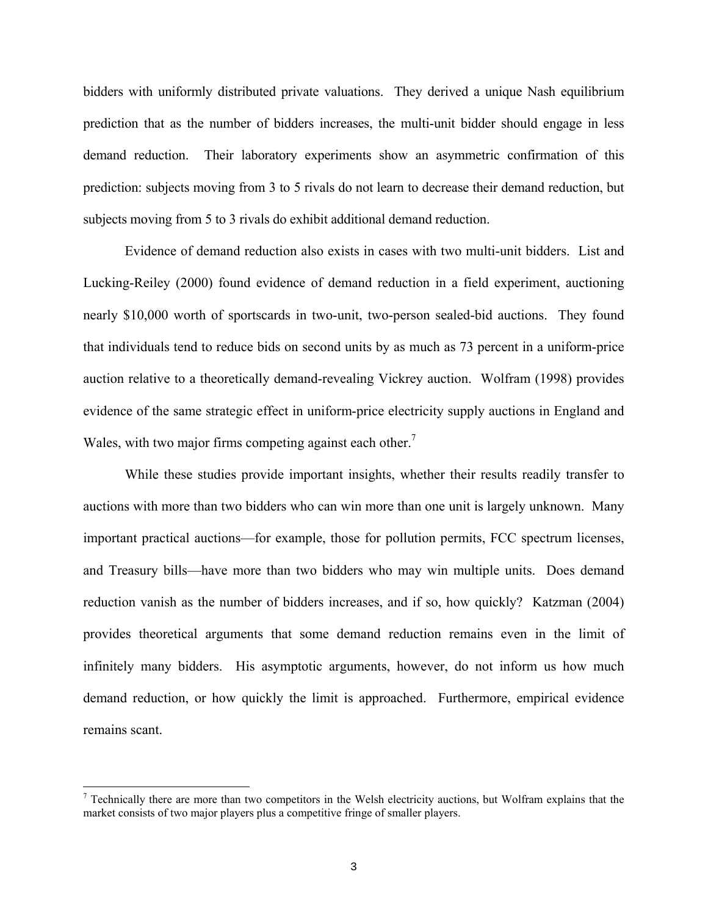bidders with uniformly distributed private valuations. They derived a unique Nash equilibrium prediction that as the number of bidders increases, the multi-unit bidder should engage in less demand reduction. Their laboratory experiments show an asymmetric confirmation of this prediction: subjects moving from 3 to 5 rivals do not learn to decrease their demand reduction, but subjects moving from 5 to 3 rivals do exhibit additional demand reduction.

Evidence of demand reduction also exists in cases with two multi-unit bidders. List and Lucking-Reiley (2000) found evidence of demand reduction in a field experiment, auctioning nearly \$10,000 worth of sportscards in two-unit, two-person sealed-bid auctions. They found that individuals tend to reduce bids on second units by as much as 73 percent in a uniform-price auction relative to a theoretically demand-revealing Vickrey auction. Wolfram (1998) provides evidence of the same strategic effect in uniform-price electricity supply auctions in England and Wales, with two major firms competing against each other.<sup>7</sup>

While these studies provide important insights, whether their results readily transfer to auctions with more than two bidders who can win more than one unit is largely unknown. Many important practical auctions—for example, those for pollution permits, FCC spectrum licenses, and Treasury bills—have more than two bidders who may win multiple units. Does demand reduction vanish as the number of bidders increases, and if so, how quickly? Katzman (2004) provides theoretical arguments that some demand reduction remains even in the limit of infinitely many bidders. His asymptotic arguments, however, do not inform us how much demand reduction, or how quickly the limit is approached. Furthermore, empirical evidence remains scant.

<sup>&</sup>lt;sup>7</sup> Technically there are more than two competitors in the Welsh electricity auctions, but Wolfram explains that the market consists of two major players plus a competitive fringe of smaller players.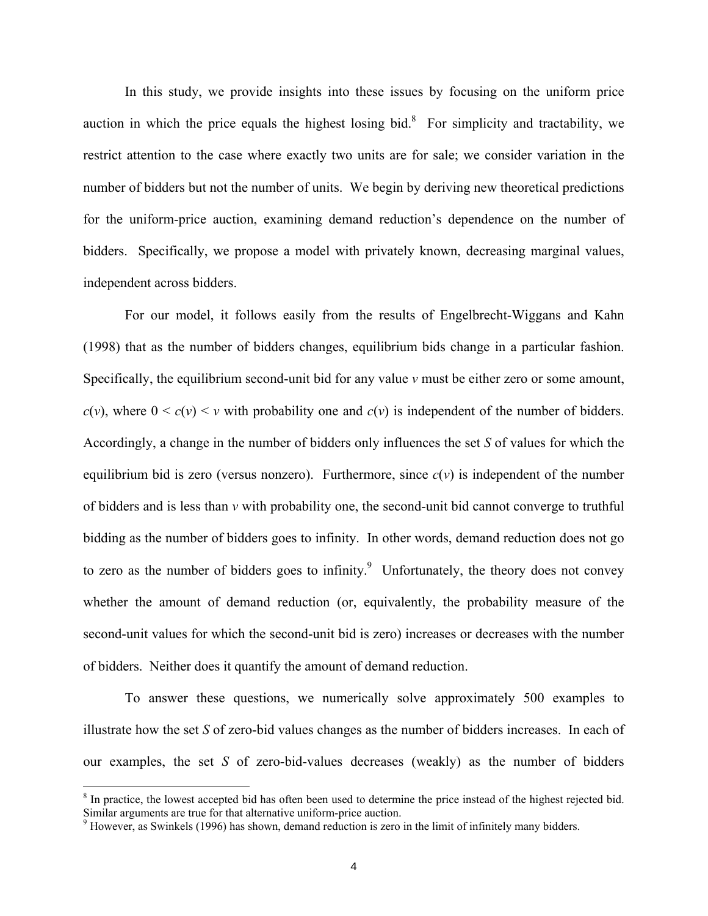In this study, we provide insights into these issues by focusing on the uniform price auction in which the price equals the highest losing bid.<sup>8</sup> For simplicity and tractability, we restrict attention to the case where exactly two units are for sale; we consider variation in the number of bidders but not the number of units. We begin by deriving new theoretical predictions for the uniform-price auction, examining demand reduction's dependence on the number of bidders. Specifically, we propose a model with privately known, decreasing marginal values, independent across bidders.

For our model, it follows easily from the results of Engelbrecht-Wiggans and Kahn (1998) that as the number of bidders changes, equilibrium bids change in a particular fashion. Specifically, the equilibrium second-unit bid for any value *v* must be either zero or some amount,  $c(v)$ , where  $0 \leq c(v) \leq v$  with probability one and  $c(v)$  is independent of the number of bidders. Accordingly, a change in the number of bidders only influences the set *S* of values for which the equilibrium bid is zero (versus nonzero). Furthermore, since  $c(v)$  is independent of the number of bidders and is less than *v* with probability one, the second-unit bid cannot converge to truthful bidding as the number of bidders goes to infinity. In other words, demand reduction does not go to zero as the number of bidders goes to infinity.<sup>9</sup> Unfortunately, the theory does not convey whether the amount of demand reduction (or, equivalently, the probability measure of the second-unit values for which the second-unit bid is zero) increases or decreases with the number of bidders. Neither does it quantify the amount of demand reduction.

To answer these questions, we numerically solve approximately 500 examples to illustrate how the set *S* of zero-bid values changes as the number of bidders increases. In each of our examples, the set *S* of zero-bid-values decreases (weakly) as the number of bidders

 $8$  In practice, the lowest accepted bid has often been used to determine the price instead of the highest rejected bid. Similar arguments are true for that alternative uniform-price auction.

 $9$  However, as Swinkels (1996) has shown, demand reduction is zero in the limit of infinitely many bidders.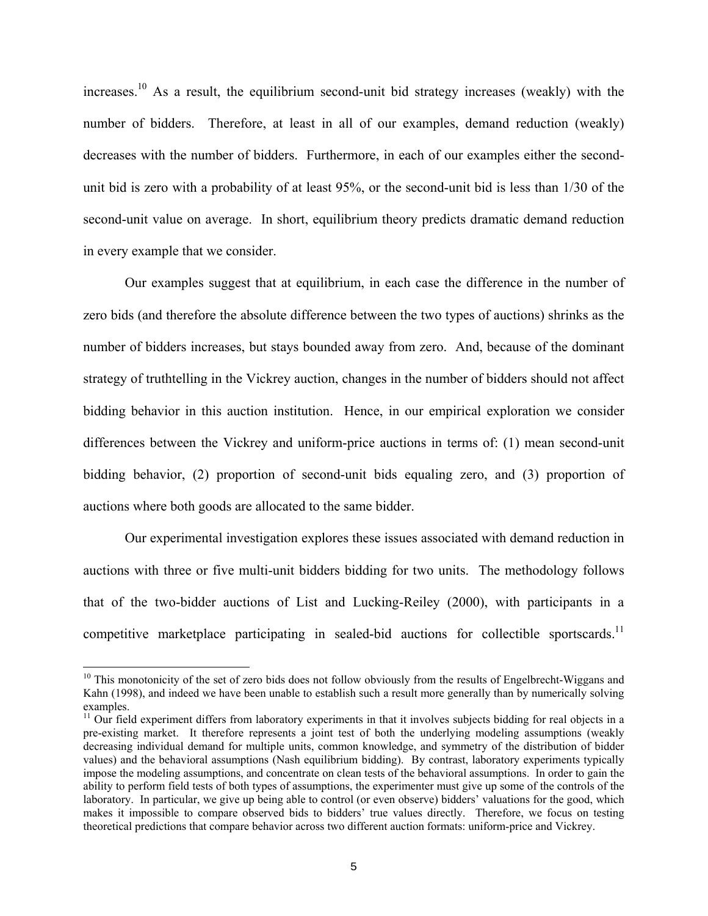increases.10 As a result, the equilibrium second-unit bid strategy increases (weakly) with the number of bidders. Therefore, at least in all of our examples, demand reduction (weakly) decreases with the number of bidders. Furthermore, in each of our examples either the secondunit bid is zero with a probability of at least 95%, or the second-unit bid is less than 1/30 of the second-unit value on average. In short, equilibrium theory predicts dramatic demand reduction in every example that we consider.

Our examples suggest that at equilibrium, in each case the difference in the number of zero bids (and therefore the absolute difference between the two types of auctions) shrinks as the number of bidders increases, but stays bounded away from zero. And, because of the dominant strategy of truthtelling in the Vickrey auction, changes in the number of bidders should not affect bidding behavior in this auction institution. Hence, in our empirical exploration we consider differences between the Vickrey and uniform-price auctions in terms of: (1) mean second-unit bidding behavior, (2) proportion of second-unit bids equaling zero, and (3) proportion of auctions where both goods are allocated to the same bidder.

Our experimental investigation explores these issues associated with demand reduction in auctions with three or five multi-unit bidders bidding for two units. The methodology follows that of the two-bidder auctions of List and Lucking-Reiley (2000), with participants in a competitive marketplace participating in sealed-bid auctions for collectible sportscards.<sup>11</sup>

 $10$  This monotonicity of the set of zero bids does not follow obviously from the results of Engelbrecht-Wiggans and Kahn (1998), and indeed we have been unable to establish such a result more generally than by numerically solving examples.

 $11$  Our field experiment differs from laboratory experiments in that it involves subjects bidding for real objects in a pre-existing market. It therefore represents a joint test of both the underlying modeling assumptions (weakly decreasing individual demand for multiple units, common knowledge, and symmetry of the distribution of bidder values) and the behavioral assumptions (Nash equilibrium bidding). By contrast, laboratory experiments typically impose the modeling assumptions, and concentrate on clean tests of the behavioral assumptions. In order to gain the ability to perform field tests of both types of assumptions, the experimenter must give up some of the controls of the laboratory. In particular, we give up being able to control (or even observe) bidders' valuations for the good, which makes it impossible to compare observed bids to bidders' true values directly. Therefore, we focus on testing theoretical predictions that compare behavior across two different auction formats: uniform-price and Vickrey.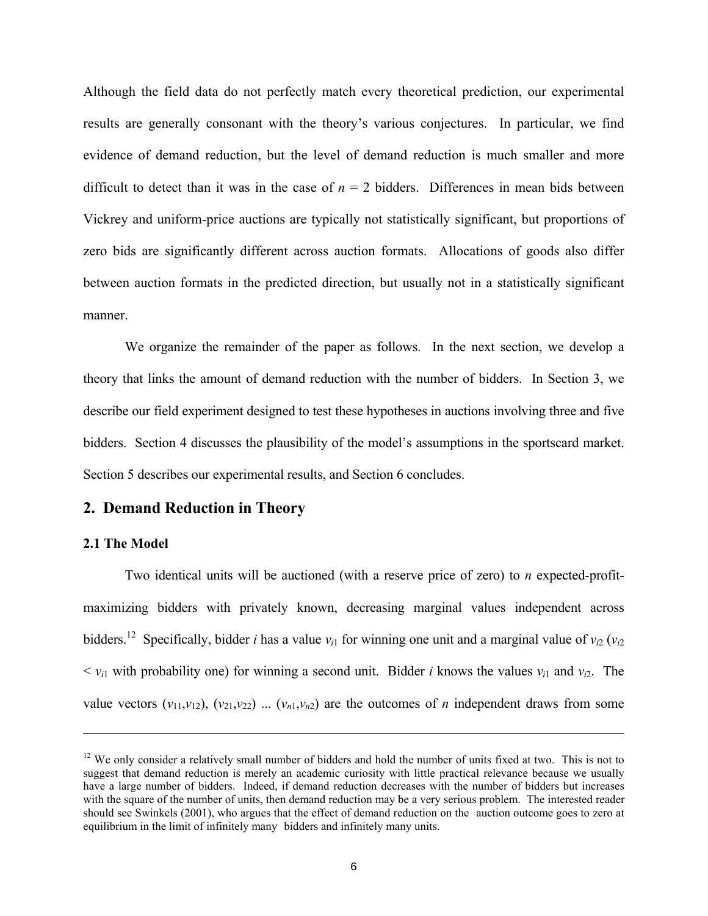Although the field data do not perfectly match every theoretical prediction, our experimental results are generally consonant with the theory's various conjectures. In particular, we find evidence of demand reduction, but the level of demand reduction is much smaller and more difficult to detect than it was in the case of  $n = 2$  bidders. Differences in mean bids between Vickrey and uniform-price auctions are typically not statistically significant, but proportions of zero bids are significantly different across auction formats. Allocations of goods also differ between auction formats in the predicted direction, but usually not in a statistically significant manner.

We organize the remainder of the paper as follows. In the next section, we develop a theory that links the amount of demand reduction with the number of bidders. In Section 3, we describe our field experiment designed to test these hypotheses in auctions involving three and five bidders. Section 4 discusses the plausibility of the model's assumptions in the sportscard market. Section 5 describes our experimental results, and Section 6 concludes.

# **2. Demand Reduction in Theory**

#### **2.1 The Model**

i

Two identical units will be auctioned (with a reserve price of zero) to *n* expected-profitmaximizing bidders with privately known, decreasing marginal values independent across bidders.<sup>12</sup> Specifically, bidder *i* has a value  $v_{i1}$  for winning one unit and a marginal value of  $v_{i2}$  ( $v_{i2}$  $\langle v_i \rangle$  with probability one) for winning a second unit. Bidder *i* knows the values  $v_i$  and  $v_i$ . The value vectors  $(v_{11}, v_{12})$ ,  $(v_{21}, v_{22})$  ...  $(v_{n1}, v_{n2})$  are the outcomes of *n* independent draws from some

 $12$  We only consider a relatively small number of bidders and hold the number of units fixed at two. This is not to suggest that demand reduction is merely an academic curiosity with little practical relevance because we usually have a large number of bidders. Indeed, if demand reduction decreases with the number of bidders but increases with the square of the number of units, then demand reduction may be a very serious problem. The interested reader should see Swinkels (2001), who argues that the effect of demand reduction on the auction outcome goes to zero at equilibrium in the limit of infinitely many bidders and infinitely many units.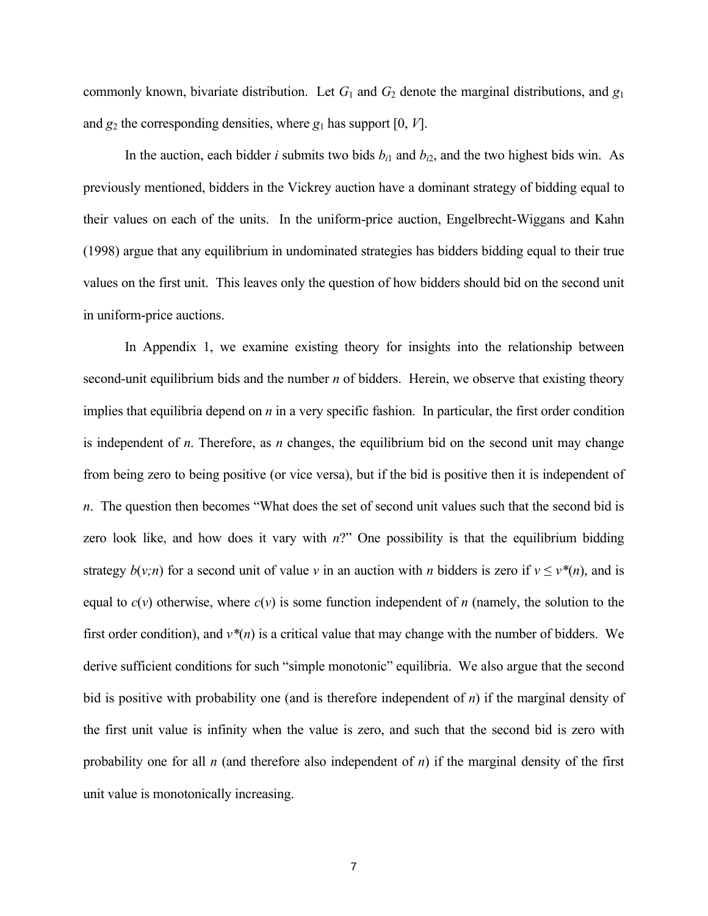commonly known, bivariate distribution. Let  $G_1$  and  $G_2$  denote the marginal distributions, and  $g_1$ and  $g_2$  the corresponding densities, where  $g_1$  has support [0, *V*].

In the auction, each bidder *i* submits two bids  $b_{i1}$  and  $b_{i2}$ , and the two highest bids win. As previously mentioned, bidders in the Vickrey auction have a dominant strategy of bidding equal to their values on each of the units. In the uniform-price auction, Engelbrecht-Wiggans and Kahn (1998) argue that any equilibrium in undominated strategies has bidders bidding equal to their true values on the first unit. This leaves only the question of how bidders should bid on the second unit in uniform-price auctions.

In Appendix 1, we examine existing theory for insights into the relationship between second-unit equilibrium bids and the number *n* of bidders. Herein, we observe that existing theory implies that equilibria depend on *n* in a very specific fashion. In particular, the first order condition is independent of *n*. Therefore, as *n* changes, the equilibrium bid on the second unit may change from being zero to being positive (or vice versa), but if the bid is positive then it is independent of *n*. The question then becomes "What does the set of second unit values such that the second bid is zero look like, and how does it vary with *n*?" One possibility is that the equilibrium bidding strategy  $b(v; n)$  for a second unit of value *v* in an auction with *n* bidders is zero if  $v \le v^*(n)$ , and is equal to  $c(v)$  otherwise, where  $c(v)$  is some function independent of *n* (namely, the solution to the first order condition), and  $v^*(n)$  is a critical value that may change with the number of bidders. We derive sufficient conditions for such "simple monotonic" equilibria. We also argue that the second bid is positive with probability one (and is therefore independent of *n*) if the marginal density of the first unit value is infinity when the value is zero, and such that the second bid is zero with probability one for all *n* (and therefore also independent of *n*) if the marginal density of the first unit value is monotonically increasing.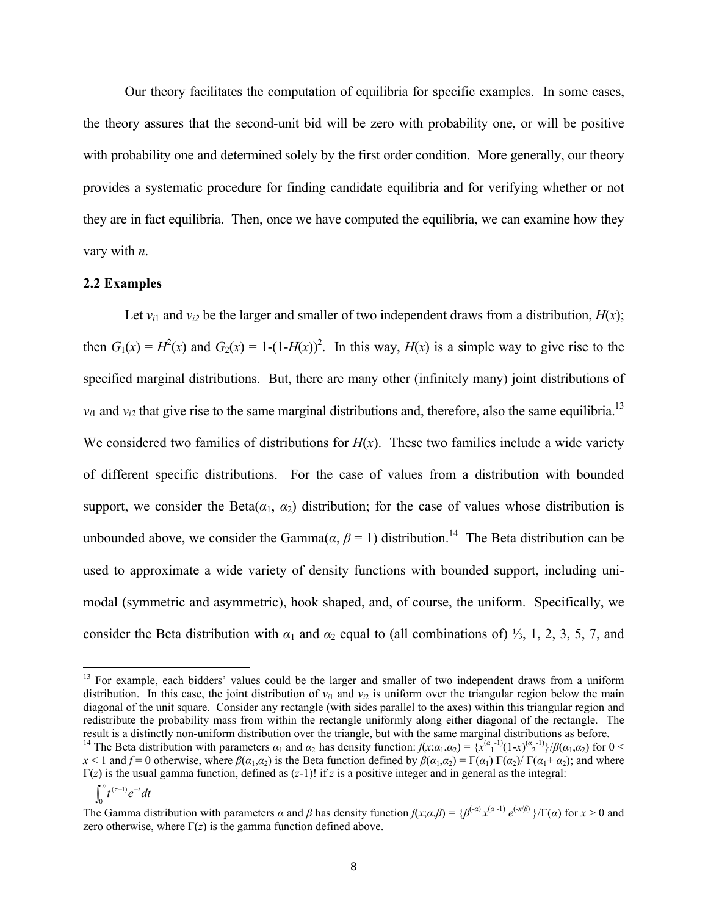Our theory facilitates the computation of equilibria for specific examples. In some cases, the theory assures that the second-unit bid will be zero with probability one, or will be positive with probability one and determined solely by the first order condition. More generally, our theory provides a systematic procedure for finding candidate equilibria and for verifying whether or not they are in fact equilibria. Then, once we have computed the equilibria, we can examine how they vary with *n*.

#### **2.2 Examples**

Let  $v_{i1}$  and  $v_{i2}$  be the larger and smaller of two independent draws from a distribution,  $H(x)$ ; then  $G_1(x) = H^2(x)$  and  $G_2(x) = 1-(1-H(x))^2$ . In this way,  $H(x)$  is a simple way to give rise to the specified marginal distributions. But, there are many other (infinitely many) joint distributions of  $v_{i1}$  and  $v_{i2}$  that give rise to the same marginal distributions and, therefore, also the same equilibria.<sup>13</sup> We considered two families of distributions for  $H(x)$ . These two families include a wide variety of different specific distributions. For the case of values from a distribution with bounded support, we consider the Beta( $\alpha_1$ ,  $\alpha_2$ ) distribution; for the case of values whose distribution is unbounded above, we consider the Gamma $(\alpha, \beta = 1)$  distribution.<sup>14</sup> The Beta distribution can be used to approximate a wide variety of density functions with bounded support, including unimodal (symmetric and asymmetric), hook shaped, and, of course, the uniform. Specifically, we consider the Beta distribution with  $\alpha_1$  and  $\alpha_2$  equal to (all combinations of) <sup>1</sup>/<sub>3</sub>, 1, 2, 3, 5, 7, and

i<br>L

<sup>&</sup>lt;sup>13</sup> For example, each bidders' values could be the larger and smaller of two independent draws from a uniform distribution. In this case, the joint distribution of  $v_{i1}$  and  $v_{i2}$  is uniform over the triangular region below the main diagonal of the unit square. Consider any rectangle (with sides parallel to the axes) within this triangular region and redistribute the probability mass from within the rectangle uniformly along either diagonal of the rectangle. The result is a distinctly non-uniform distribution over the triangle, but with the same marginal distributions as before.<br><sup>14</sup> The Beta distribution with parameters  $\alpha_1$  and  $\alpha_2$  has density function:  $f(x;\alpha_1,\alpha_2) = \{x^{(\alpha$ 

 $x < 1$  and  $f = 0$  otherwise, where  $\beta(\alpha_1, \alpha_2)$  is the Beta function defined by  $\beta(\alpha_1, \alpha_2) = \Gamma(\alpha_1) \Gamma(\alpha_2) / \Gamma(\alpha_1 + \alpha_2)$ ; and where  $\Gamma(z)$  is the usual gamma function, defined as  $(z-1)!$  if *z* is a positive integer and in general as the integral:

 $\int_0^\infty t^{(z-1)}e^{-}$  $\int_{0}^{\infty} t^{(z-1)} e^{-t} dt$ 

The Gamma distribution with parameters  $\alpha$  and  $\beta$  has density function  $f(x;\alpha,\beta) = {\beta^{(-\alpha)}x^{(\alpha-1)} e^{(-x/\beta)}}/\Gamma(\alpha)$  for  $x > 0$  and zero otherwise, where  $\Gamma(z)$  is the gamma function defined above.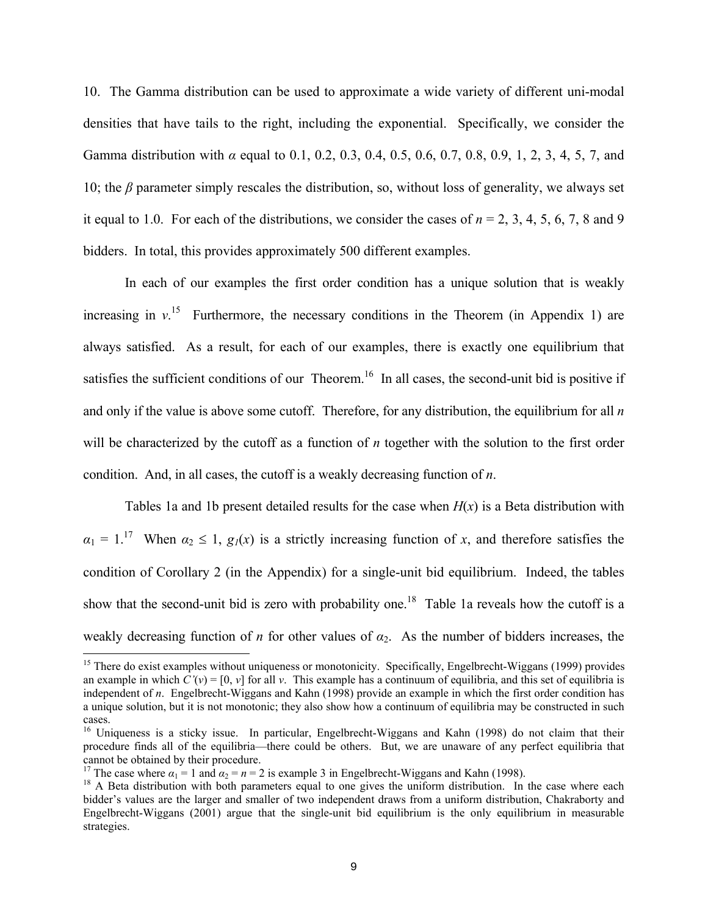10. The Gamma distribution can be used to approximate a wide variety of different uni-modal densities that have tails to the right, including the exponential. Specifically, we consider the Gamma distribution with *α* equal to 0.1, 0.2, 0.3, 0.4, 0.5, 0.6, 0.7, 0.8, 0.9, 1, 2, 3, 4, 5, 7, and 10; the *β* parameter simply rescales the distribution, so, without loss of generality, we always set it equal to 1.0. For each of the distributions, we consider the cases of  $n = 2, 3, 4, 5, 6, 7, 8$  and 9 bidders. In total, this provides approximately 500 different examples.

In each of our examples the first order condition has a unique solution that is weakly increasing in  $v<sup>15</sup>$  Furthermore, the necessary conditions in the Theorem (in Appendix 1) are always satisfied. As a result, for each of our examples, there is exactly one equilibrium that satisfies the sufficient conditions of our Theorem.<sup>16</sup> In all cases, the second-unit bid is positive if and only if the value is above some cutoff. Therefore, for any distribution, the equilibrium for all *n* will be characterized by the cutoff as a function of *n* together with the solution to the first order condition. And, in all cases, the cutoff is a weakly decreasing function of *n*.

Tables 1a and 1b present detailed results for the case when  $H(x)$  is a Beta distribution with  $a_1 = 1$ <sup>17</sup> When  $a_2 \le 1$ ,  $g_1(x)$  is a strictly increasing function of *x*, and therefore satisfies the condition of Corollary 2 (in the Appendix) for a single-unit bid equilibrium. Indeed, the tables show that the second-unit bid is zero with probability one.<sup>18</sup> Table 1a reveals how the cutoff is a weakly decreasing function of *n* for other values of *α*2. As the number of bidders increases, the

<sup>&</sup>lt;sup>15</sup> There do exist examples without uniqueness or monotonicity. Specifically, Engelbrecht-Wiggans (1999) provides an example in which  $C'(v) = [0, v]$  for all v. This example has a continuum of equilibria, and this set of equilibria is independent of *n*. Engelbrecht-Wiggans and Kahn (1998) provide an example in which the first order condition has a unique solution, but it is not monotonic; they also show how a continuum of equilibria may be constructed in such cases.

<sup>&</sup>lt;sup>16</sup> Uniqueness is a sticky issue. In particular, Engelbrecht-Wiggans and Kahn (1998) do not claim that their procedure finds all of the equilibria—there could be others. But, we are unaware of any perfect equilibria that

<sup>&</sup>lt;sup>17</sup> The case where  $\alpha_1 = 1$  and  $\alpha_2 = n = 2$  is example 3 in Engelbrecht-Wiggans and Kahn (1998).<br><sup>18</sup> A Beta distribution with both parameters equal to one gives the uniform distribution. In the case where each bidder's values are the larger and smaller of two independent draws from a uniform distribution, Chakraborty and Engelbrecht-Wiggans (2001) argue that the single-unit bid equilibrium is the only equilibrium in measurable strategies.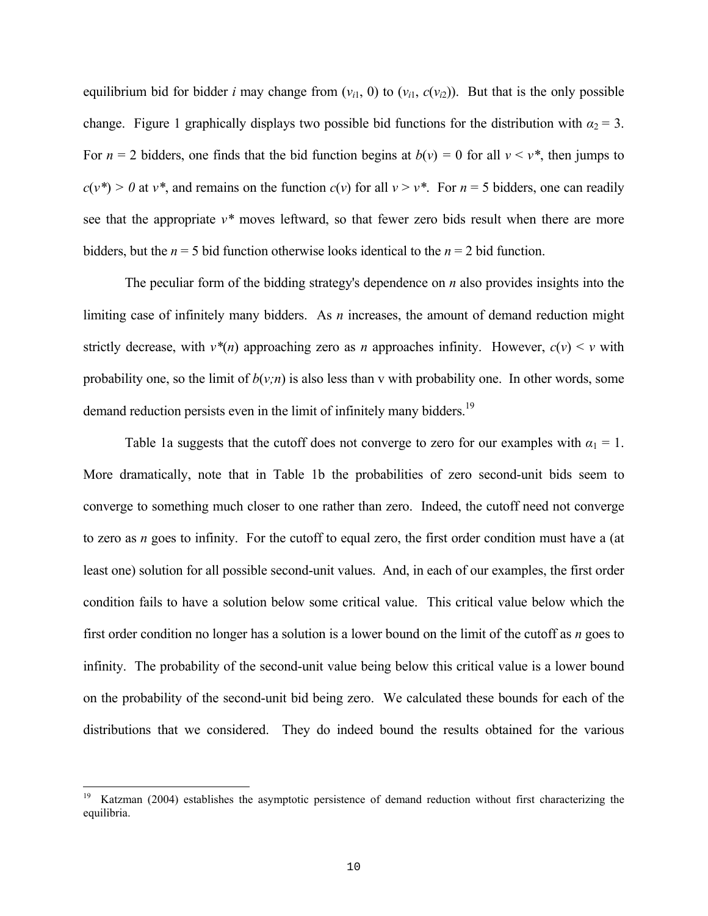equilibrium bid for bidder *i* may change from  $(v_{i1}, 0)$  to  $(v_{i1}, c(v_{i2}))$ . But that is the only possible change. Figure 1 graphically displays two possible bid functions for the distribution with  $a_2 = 3$ . For  $n = 2$  bidders, one finds that the bid function begins at  $b(v) = 0$  for all  $v \le v^*$ , then jumps to  $c(v^*)$  > 0 at *v*<sup>\*</sup>, and remains on the function  $c(v)$  for all  $v > v^*$ . For  $n = 5$  bidders, one can readily see that the appropriate *v\** moves leftward, so that fewer zero bids result when there are more bidders, but the  $n = 5$  bid function otherwise looks identical to the  $n = 2$  bid function.

The peculiar form of the bidding strategy's dependence on *n* also provides insights into the limiting case of infinitely many bidders. As *n* increases, the amount of demand reduction might strictly decrease, with  $v^*(n)$  approaching zero as *n* approaches infinity. However,  $c(v) \le v$  with probability one, so the limit of  $b(v;n)$  is also less than v with probability one. In other words, some demand reduction persists even in the limit of infinitely many bidders.<sup>19</sup>

Table 1a suggests that the cutoff does not converge to zero for our examples with  $\alpha_1 = 1$ . More dramatically, note that in Table 1b the probabilities of zero second-unit bids seem to converge to something much closer to one rather than zero. Indeed, the cutoff need not converge to zero as *n* goes to infinity. For the cutoff to equal zero, the first order condition must have a (at least one) solution for all possible second-unit values. And, in each of our examples, the first order condition fails to have a solution below some critical value. This critical value below which the first order condition no longer has a solution is a lower bound on the limit of the cutoff as *n* goes to infinity. The probability of the second-unit value being below this critical value is a lower bound on the probability of the second-unit bid being zero. We calculated these bounds for each of the distributions that we considered. They do indeed bound the results obtained for the various

<sup>19</sup> Katzman (2004) establishes the asymptotic persistence of demand reduction without first characterizing the equilibria.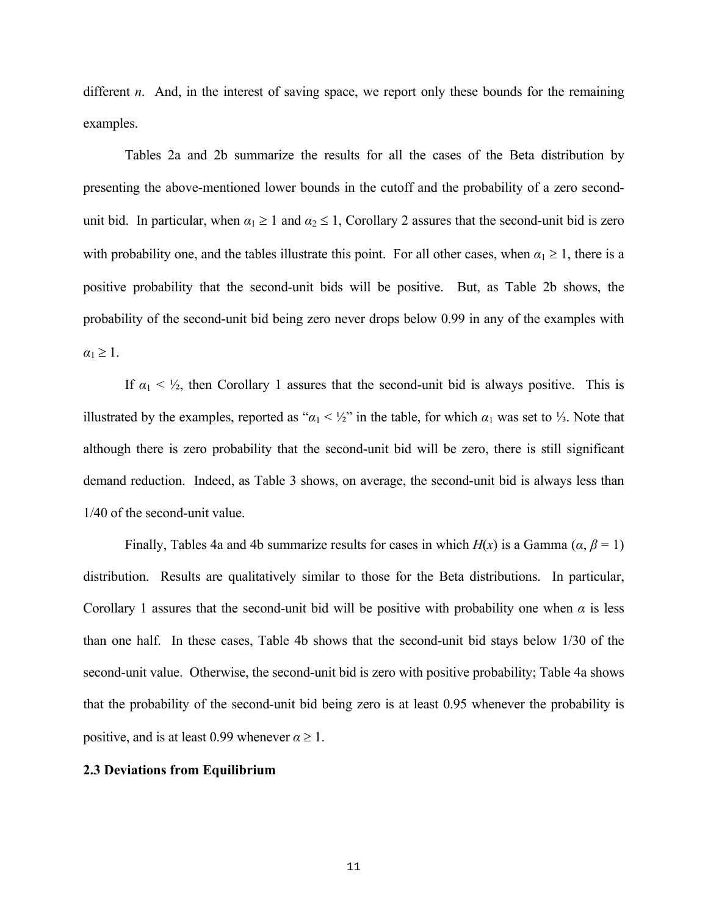different *n*. And, in the interest of saving space, we report only these bounds for the remaining examples.

Tables 2a and 2b summarize the results for all the cases of the Beta distribution by presenting the above-mentioned lower bounds in the cutoff and the probability of a zero secondunit bid. In particular, when  $\alpha_1 \geq 1$  and  $\alpha_2 \leq 1$ , Corollary 2 assures that the second-unit bid is zero with probability one, and the tables illustrate this point. For all other cases, when  $\alpha_1 \geq 1$ , there is a positive probability that the second-unit bids will be positive. But, as Table 2b shows, the probability of the second-unit bid being zero never drops below 0.99 in any of the examples with  $\alpha_1 \geq 1$ .

If  $\alpha_1 < \frac{1}{2}$ , then Corollary 1 assures that the second-unit bid is always positive. This is illustrated by the examples, reported as " $\alpha_1 < \frac{1}{2}$ " in the table, for which  $\alpha_1$  was set to <sup>1</sup>/<sub>3</sub>. Note that although there is zero probability that the second-unit bid will be zero, there is still significant demand reduction. Indeed, as Table 3 shows, on average, the second-unit bid is always less than 1/40 of the second-unit value.

Finally, Tables 4a and 4b summarize results for cases in which  $H(x)$  is a Gamma ( $\alpha$ ,  $\beta = 1$ ) distribution. Results are qualitatively similar to those for the Beta distributions. In particular, Corollary 1 assures that the second-unit bid will be positive with probability one when  $\alpha$  is less than one half. In these cases, Table 4b shows that the second-unit bid stays below 1/30 of the second-unit value. Otherwise, the second-unit bid is zero with positive probability; Table 4a shows that the probability of the second-unit bid being zero is at least 0.95 whenever the probability is positive, and is at least 0.99 whenever  $\alpha \ge 1$ .

### **2.3 Deviations from Equilibrium**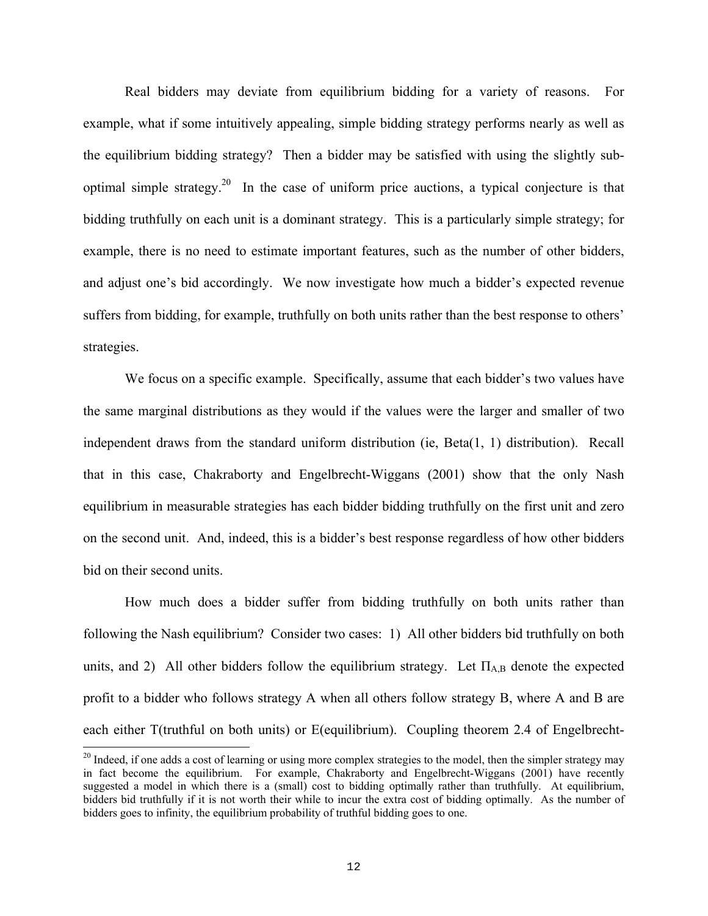Real bidders may deviate from equilibrium bidding for a variety of reasons. For example, what if some intuitively appealing, simple bidding strategy performs nearly as well as the equilibrium bidding strategy? Then a bidder may be satisfied with using the slightly suboptimal simple strategy.<sup>20</sup> In the case of uniform price auctions, a typical conjecture is that bidding truthfully on each unit is a dominant strategy. This is a particularly simple strategy; for example, there is no need to estimate important features, such as the number of other bidders, and adjust one's bid accordingly. We now investigate how much a bidder's expected revenue suffers from bidding, for example, truthfully on both units rather than the best response to others' strategies.

We focus on a specific example. Specifically, assume that each bidder's two values have the same marginal distributions as they would if the values were the larger and smaller of two independent draws from the standard uniform distribution (ie,  $Beta(1, 1)$  distribution). Recall that in this case, Chakraborty and Engelbrecht-Wiggans (2001) show that the only Nash equilibrium in measurable strategies has each bidder bidding truthfully on the first unit and zero on the second unit. And, indeed, this is a bidder's best response regardless of how other bidders bid on their second units.

How much does a bidder suffer from bidding truthfully on both units rather than following the Nash equilibrium? Consider two cases: 1) All other bidders bid truthfully on both units, and 2) All other bidders follow the equilibrium strategy. Let  $\Pi_{AB}$  denote the expected profit to a bidder who follows strategy A when all others follow strategy B, where A and B are each either T(truthful on both units) or E(equilibrium). Coupling theorem 2.4 of Engelbrecht-

<sup>&</sup>lt;sup>20</sup> Indeed, if one adds a cost of learning or using more complex strategies to the model, then the simpler strategy may in fact become the equilibrium. For example, Chakraborty and Engelbrecht-Wiggans (2001) have recently suggested a model in which there is a (small) cost to bidding optimally rather than truthfully. At equilibrium, bidders bid truthfully if it is not worth their while to incur the extra cost of bidding optimally. As the number of bidders goes to infinity, the equilibrium probability of truthful bidding goes to one.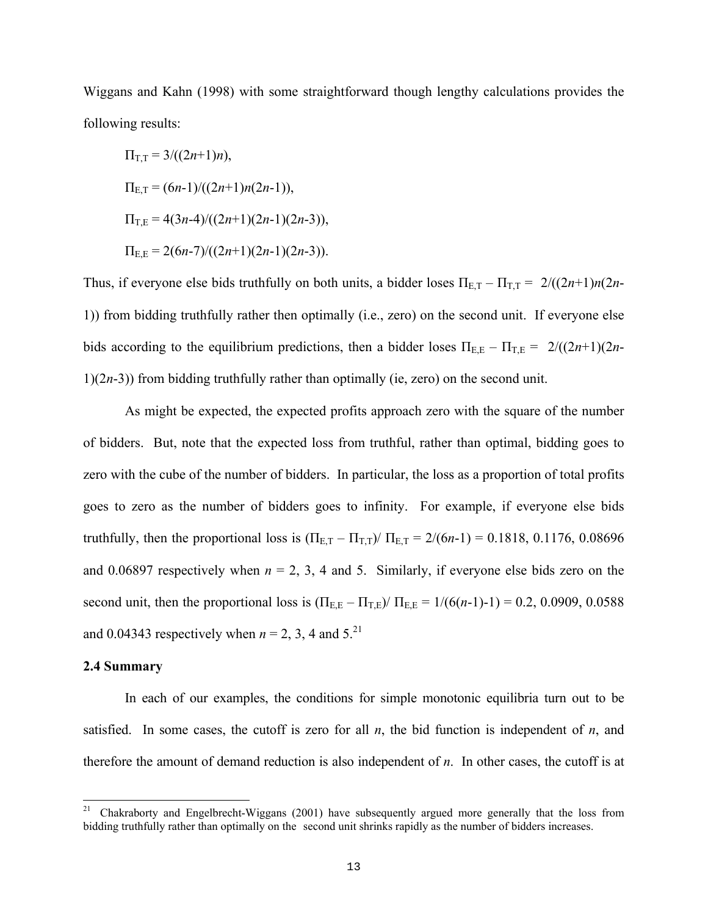Wiggans and Kahn (1998) with some straightforward though lengthy calculations provides the following results:

$$
\Pi_{T,T} = 3/((2n+1)n),
$$
  
\n
$$
\Pi_{E,T} = (6n-1)/((2n+1)n(2n-1)),
$$
  
\n
$$
\Pi_{T,E} = 4(3n-4)/((2n+1)(2n-1)(2n-3)),
$$
  
\n
$$
\Pi_{E,E} = 2(6n-7)/((2n+1)(2n-1)(2n-3)).
$$

Thus, if everyone else bids truthfully on both units, a bidder loses  $\Pi_{E,T} - \Pi_{T,T} = 2/((2n+1)n(2n+1))$ 1)) from bidding truthfully rather then optimally (i.e., zero) on the second unit. If everyone else bids according to the equilibrium predictions, then a bidder loses  $\Pi_{E,E} - \Pi_{T,E} = 2/((2n+1)(2n+1))$ 1)(2*n*-3)) from bidding truthfully rather than optimally (ie, zero) on the second unit.

As might be expected, the expected profits approach zero with the square of the number of bidders. But, note that the expected loss from truthful, rather than optimal, bidding goes to zero with the cube of the number of bidders. In particular, the loss as a proportion of total profits goes to zero as the number of bidders goes to infinity. For example, if everyone else bids truthfully, then the proportional loss is  $(\Pi_{E,T} - \Pi_{T,T}) / \Pi_{E,T} = 2/(6n-1) = 0.1818, 0.1176, 0.08696$ and 0.06897 respectively when  $n = 2, 3, 4$  and 5. Similarly, if everyone else bids zero on the second unit, then the proportional loss is  $(\Pi_{\text{E,E}} - \Pi_{\text{TE}})/ \Pi_{\text{E,E}} = 1/(6(n-1)-1) = 0.2, 0.0909, 0.0588$ and 0.04343 respectively when  $n = 2$ , 3, 4 and 5.<sup>21</sup>

#### **2.4 Summary**

In each of our examples, the conditions for simple monotonic equilibria turn out to be satisfied. In some cases, the cutoff is zero for all *n*, the bid function is independent of *n*, and therefore the amount of demand reduction is also independent of *n*. In other cases, the cutoff is at

 $21\,$ <sup>21</sup> Chakraborty and Engelbrecht-Wiggans (2001) have subsequently argued more generally that the loss from bidding truthfully rather than optimally on the second unit shrinks rapidly as the number of bidders increases.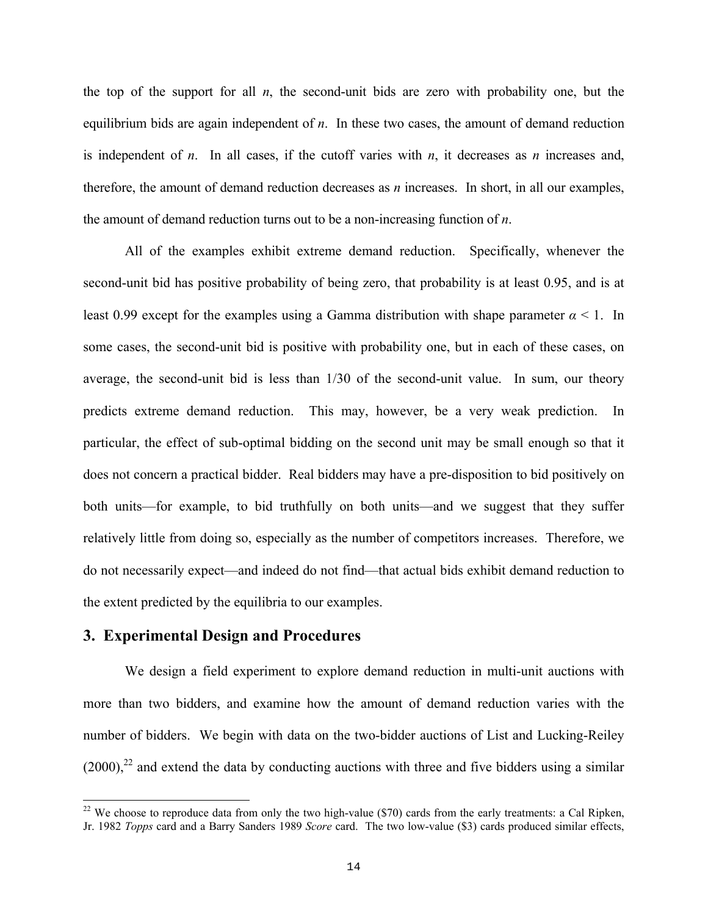the top of the support for all *n*, the second-unit bids are zero with probability one, but the equilibrium bids are again independent of *n*. In these two cases, the amount of demand reduction is independent of *n*. In all cases, if the cutoff varies with *n*, it decreases as *n* increases and, therefore, the amount of demand reduction decreases as *n* increases. In short, in all our examples, the amount of demand reduction turns out to be a non-increasing function of *n*.

All of the examples exhibit extreme demand reduction. Specifically, whenever the second-unit bid has positive probability of being zero, that probability is at least 0.95, and is at least 0.99 except for the examples using a Gamma distribution with shape parameter  $\alpha$  < 1. In some cases, the second-unit bid is positive with probability one, but in each of these cases, on average, the second-unit bid is less than 1/30 of the second-unit value. In sum, our theory predicts extreme demand reduction. This may, however, be a very weak prediction. In particular, the effect of sub-optimal bidding on the second unit may be small enough so that it does not concern a practical bidder. Real bidders may have a pre-disposition to bid positively on both units—for example, to bid truthfully on both units—and we suggest that they suffer relatively little from doing so, especially as the number of competitors increases. Therefore, we do not necessarily expect—and indeed do not find—that actual bids exhibit demand reduction to the extent predicted by the equilibria to our examples.

## **3. Experimental Design and Procedures**

i

We design a field experiment to explore demand reduction in multi-unit auctions with more than two bidders, and examine how the amount of demand reduction varies with the number of bidders. We begin with data on the two-bidder auctions of List and Lucking-Reiley  $(2000)<sup>22</sup>$  and extend the data by conducting auctions with three and five bidders using a similar

 $22$  We choose to reproduce data from only the two high-value (\$70) cards from the early treatments: a Cal Ripken, Jr. 1982 *Topps* card and a Barry Sanders 1989 *Score* card. The two low-value (\$3) cards produced similar effects,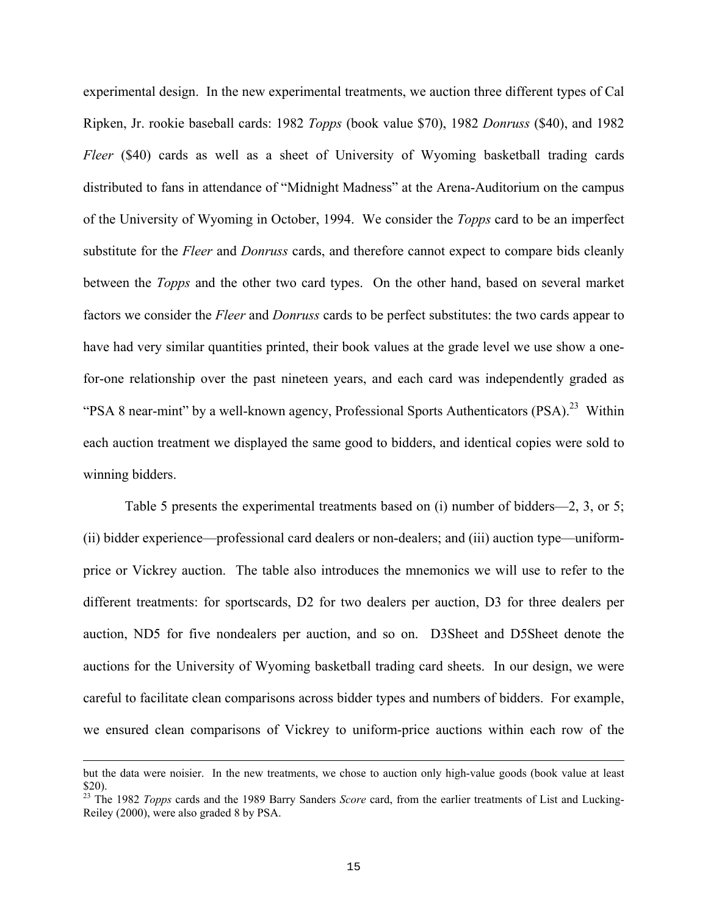experimental design. In the new experimental treatments, we auction three different types of Cal Ripken, Jr. rookie baseball cards: 1982 *Topps* (book value \$70), 1982 *Donruss* (\$40), and 1982 *Fleer* (\$40) cards as well as a sheet of University of Wyoming basketball trading cards distributed to fans in attendance of "Midnight Madness" at the Arena-Auditorium on the campus of the University of Wyoming in October, 1994. We consider the *Topps* card to be an imperfect substitute for the *Fleer* and *Donruss* cards, and therefore cannot expect to compare bids cleanly between the *Topps* and the other two card types. On the other hand, based on several market factors we consider the *Fleer* and *Donruss* cards to be perfect substitutes: the two cards appear to have had very similar quantities printed, their book values at the grade level we use show a onefor-one relationship over the past nineteen years, and each card was independently graded as "PSA 8 near-mint" by a well-known agency, Professional Sports Authenticators (PSA).<sup>23</sup> Within each auction treatment we displayed the same good to bidders, and identical copies were sold to winning bidders.

Table 5 presents the experimental treatments based on (i) number of bidders—2, 3, or 5; (ii) bidder experience—professional card dealers or non-dealers; and (iii) auction type—uniformprice or Vickrey auction. The table also introduces the mnemonics we will use to refer to the different treatments: for sportscards, D2 for two dealers per auction, D3 for three dealers per auction, ND5 for five nondealers per auction, and so on. D3Sheet and D5Sheet denote the auctions for the University of Wyoming basketball trading card sheets. In our design, we were careful to facilitate clean comparisons across bidder types and numbers of bidders. For example, we ensured clean comparisons of Vickrey to uniform-price auctions within each row of the

but the data were noisier. In the new treatments, we chose to auction only high-value goods (book value at least

<sup>\$20). 23</sup> The 1982 *Topps* cards and the 1989 Barry Sanders *Score* card, from the earlier treatments of List and Lucking-Reiley (2000), were also graded 8 by PSA.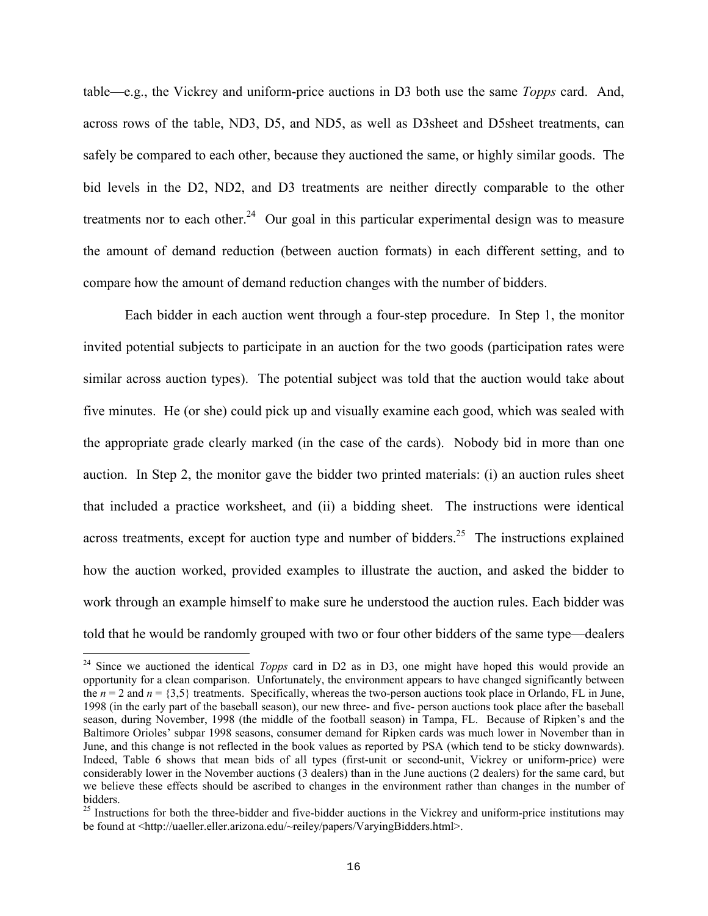table—e.g., the Vickrey and uniform-price auctions in D3 both use the same *Topps* card. And, across rows of the table, ND3, D5, and ND5, as well as D3sheet and D5sheet treatments, can safely be compared to each other, because they auctioned the same, or highly similar goods. The bid levels in the D2, ND2, and D3 treatments are neither directly comparable to the other treatments nor to each other.<sup>24</sup> Our goal in this particular experimental design was to measure the amount of demand reduction (between auction formats) in each different setting, and to compare how the amount of demand reduction changes with the number of bidders.

Each bidder in each auction went through a four-step procedure. In Step 1, the monitor invited potential subjects to participate in an auction for the two goods (participation rates were similar across auction types). The potential subject was told that the auction would take about five minutes. He (or she) could pick up and visually examine each good, which was sealed with the appropriate grade clearly marked (in the case of the cards). Nobody bid in more than one auction. In Step 2, the monitor gave the bidder two printed materials: (i) an auction rules sheet that included a practice worksheet, and (ii) a bidding sheet. The instructions were identical across treatments, except for auction type and number of bidders.<sup>25</sup> The instructions explained how the auction worked, provided examples to illustrate the auction, and asked the bidder to work through an example himself to make sure he understood the auction rules. Each bidder was told that he would be randomly grouped with two or four other bidders of the same type—dealers

<sup>&</sup>lt;sup>24</sup> Since we auctioned the identical *Topps* card in D2 as in D3, one might have hoped this would provide an opportunity for a clean comparison. Unfortunately, the environment appears to have changed significantly between the  $n = 2$  and  $n = \{3,5\}$  treatments. Specifically, whereas the two-person auctions took place in Orlando, FL in June, 1998 (in the early part of the baseball season), our new three- and five- person auctions took place after the baseball season, during November, 1998 (the middle of the football season) in Tampa, FL. Because of Ripken's and the Baltimore Orioles' subpar 1998 seasons, consumer demand for Ripken cards was much lower in November than in June, and this change is not reflected in the book values as reported by PSA (which tend to be sticky downwards). Indeed, Table 6 shows that mean bids of all types (first-unit or second-unit, Vickrey or uniform-price) were considerably lower in the November auctions (3 dealers) than in the June auctions (2 dealers) for the same card, but we believe these effects should be ascribed to changes in the environment rather than changes in the number of bidders.<br><sup>25</sup> Instructions for both the three-bidder and five-bidder auctions in the Vickrey and uniform-price institutions may

be found at <http://uaeller.eller.arizona.edu/~reiley/papers/VaryingBidders.html>.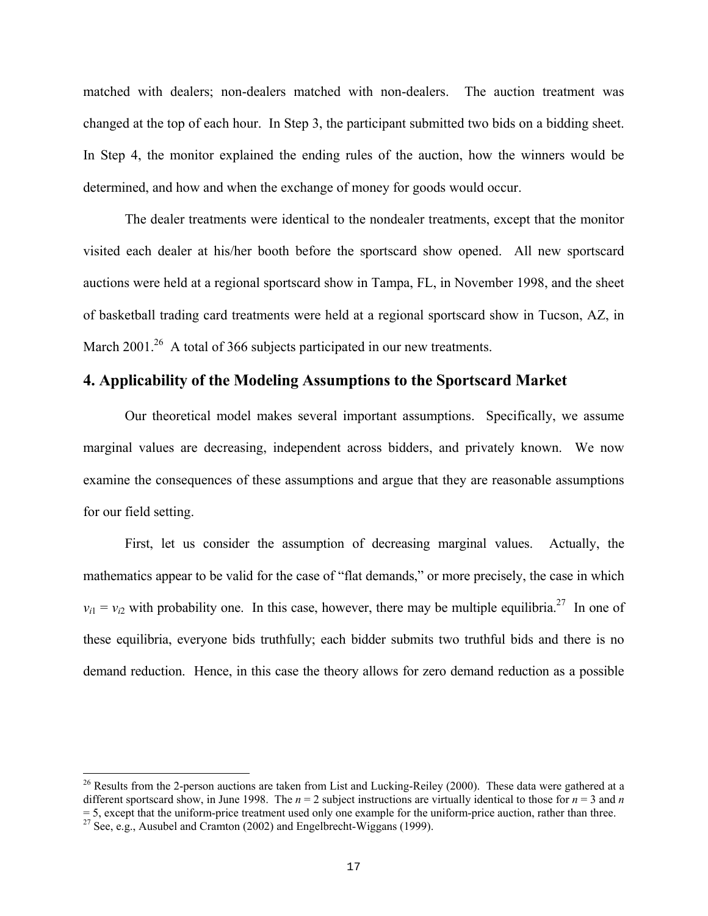matched with dealers; non-dealers matched with non-dealers. The auction treatment was changed at the top of each hour. In Step 3, the participant submitted two bids on a bidding sheet. In Step 4, the monitor explained the ending rules of the auction, how the winners would be determined, and how and when the exchange of money for goods would occur.

The dealer treatments were identical to the nondealer treatments, except that the monitor visited each dealer at his/her booth before the sportscard show opened. All new sportscard auctions were held at a regional sportscard show in Tampa, FL, in November 1998, and the sheet of basketball trading card treatments were held at a regional sportscard show in Tucson, AZ, in March 2001.<sup>26</sup> A total of 366 subjects participated in our new treatments.

# **4. Applicability of the Modeling Assumptions to the Sportscard Market**

Our theoretical model makes several important assumptions. Specifically, we assume marginal values are decreasing, independent across bidders, and privately known. We now examine the consequences of these assumptions and argue that they are reasonable assumptions for our field setting.

First, let us consider the assumption of decreasing marginal values. Actually, the mathematics appear to be valid for the case of "flat demands," or more precisely, the case in which  $v_{i1} = v_{i2}$  with probability one. In this case, however, there may be multiple equilibria.<sup>27</sup> In one of these equilibria, everyone bids truthfully; each bidder submits two truthful bids and there is no demand reduction. Hence, in this case the theory allows for zero demand reduction as a possible

 $26$  Results from the 2-person auctions are taken from List and Lucking-Reiley (2000). These data were gathered at a different sportscard show, in June 1998. The  $n = 2$  subject instructions are virtually identical to those for  $n = 3$  and *n*  $=$  5, except that the uniform-price treatment used only one example for the uniform-price auction, rather than three. <sup>27</sup> See, e.g., Ausubel and Cramton (2002) and Engelbrecht-Wiggans (1999).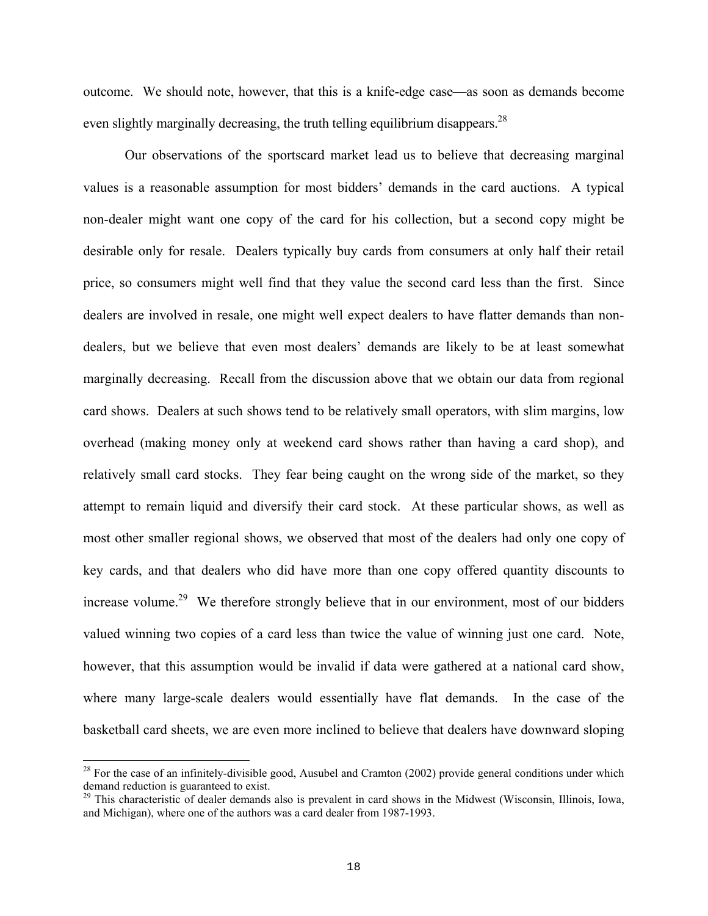outcome. We should note, however, that this is a knife-edge case—as soon as demands become even slightly marginally decreasing, the truth telling equilibrium disappears.<sup>28</sup>

Our observations of the sportscard market lead us to believe that decreasing marginal values is a reasonable assumption for most bidders' demands in the card auctions. A typical non-dealer might want one copy of the card for his collection, but a second copy might be desirable only for resale. Dealers typically buy cards from consumers at only half their retail price, so consumers might well find that they value the second card less than the first. Since dealers are involved in resale, one might well expect dealers to have flatter demands than nondealers, but we believe that even most dealers' demands are likely to be at least somewhat marginally decreasing. Recall from the discussion above that we obtain our data from regional card shows. Dealers at such shows tend to be relatively small operators, with slim margins, low overhead (making money only at weekend card shows rather than having a card shop), and relatively small card stocks. They fear being caught on the wrong side of the market, so they attempt to remain liquid and diversify their card stock. At these particular shows, as well as most other smaller regional shows, we observed that most of the dealers had only one copy of key cards, and that dealers who did have more than one copy offered quantity discounts to increase volume.<sup>29</sup> We therefore strongly believe that in our environment, most of our bidders valued winning two copies of a card less than twice the value of winning just one card. Note, however, that this assumption would be invalid if data were gathered at a national card show, where many large-scale dealers would essentially have flat demands. In the case of the basketball card sheets, we are even more inclined to believe that dealers have downward sloping

 $^{28}$  For the case of an infinitely-divisible good, Ausubel and Cramton (2002) provide general conditions under which demand reduction is guaranteed to exist.

 $\frac{29}{29}$  This characteristic of dealer demands also is prevalent in card shows in the Midwest (Wisconsin, Illinois, Iowa, and Michigan), where one of the authors was a card dealer from 1987-1993.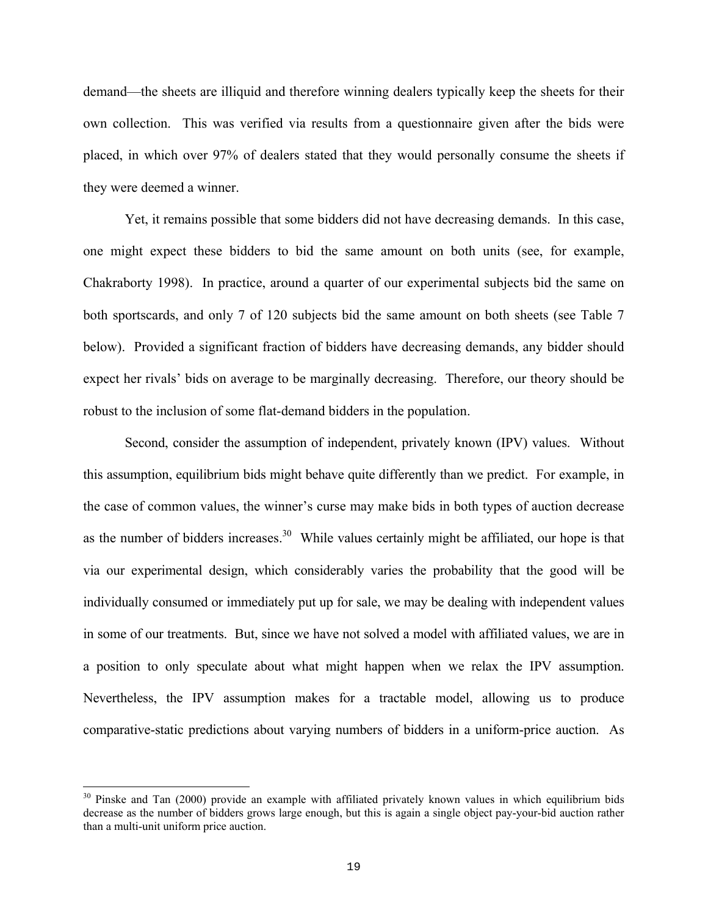demand—the sheets are illiquid and therefore winning dealers typically keep the sheets for their own collection. This was verified via results from a questionnaire given after the bids were placed, in which over 97% of dealers stated that they would personally consume the sheets if they were deemed a winner.

Yet, it remains possible that some bidders did not have decreasing demands. In this case, one might expect these bidders to bid the same amount on both units (see, for example, Chakraborty 1998). In practice, around a quarter of our experimental subjects bid the same on both sportscards, and only 7 of 120 subjects bid the same amount on both sheets (see Table 7 below). Provided a significant fraction of bidders have decreasing demands, any bidder should expect her rivals' bids on average to be marginally decreasing. Therefore, our theory should be robust to the inclusion of some flat-demand bidders in the population.

Second, consider the assumption of independent, privately known (IPV) values. Without this assumption, equilibrium bids might behave quite differently than we predict. For example, in the case of common values, the winner's curse may make bids in both types of auction decrease as the number of bidders increases.<sup>30</sup> While values certainly might be affiliated, our hope is that via our experimental design, which considerably varies the probability that the good will be individually consumed or immediately put up for sale, we may be dealing with independent values in some of our treatments. But, since we have not solved a model with affiliated values, we are in a position to only speculate about what might happen when we relax the IPV assumption. Nevertheless, the IPV assumption makes for a tractable model, allowing us to produce comparative-static predictions about varying numbers of bidders in a uniform-price auction. As

<sup>&</sup>lt;sup>30</sup> Pinske and Tan (2000) provide an example with affiliated privately known values in which equilibrium bids decrease as the number of bidders grows large enough, but this is again a single object pay-your-bid auction rather than a multi-unit uniform price auction.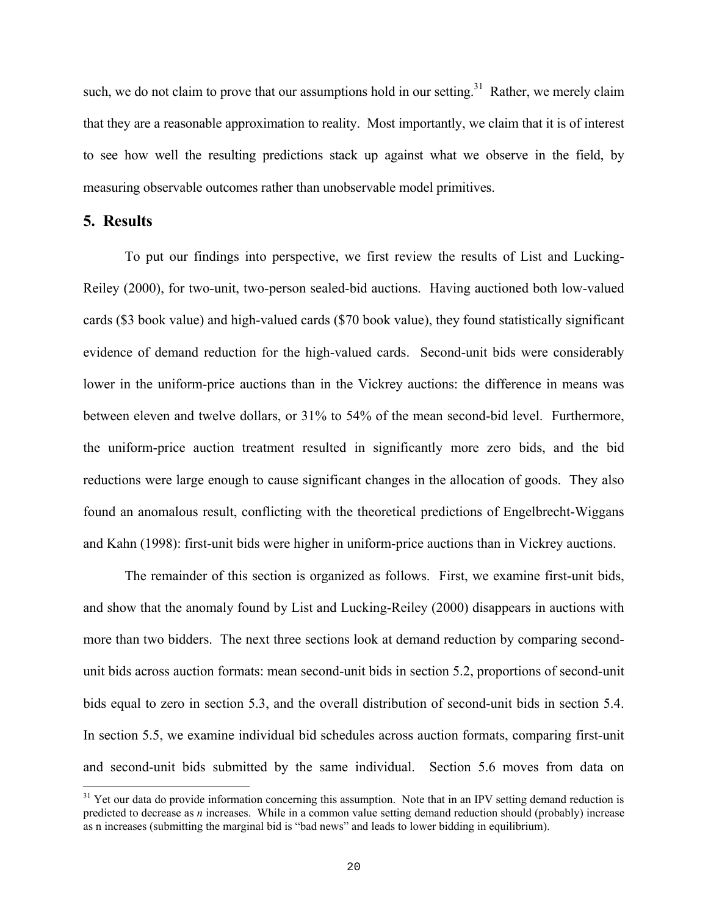such, we do not claim to prove that our assumptions hold in our setting.<sup>31</sup> Rather, we merely claim that they are a reasonable approximation to reality. Most importantly, we claim that it is of interest to see how well the resulting predictions stack up against what we observe in the field, by measuring observable outcomes rather than unobservable model primitives.

# **5. Results**

i

To put our findings into perspective, we first review the results of List and Lucking-Reiley (2000), for two-unit, two-person sealed-bid auctions. Having auctioned both low-valued cards (\$3 book value) and high-valued cards (\$70 book value), they found statistically significant evidence of demand reduction for the high-valued cards. Second-unit bids were considerably lower in the uniform-price auctions than in the Vickrey auctions: the difference in means was between eleven and twelve dollars, or 31% to 54% of the mean second-bid level. Furthermore, the uniform-price auction treatment resulted in significantly more zero bids, and the bid reductions were large enough to cause significant changes in the allocation of goods. They also found an anomalous result, conflicting with the theoretical predictions of Engelbrecht-Wiggans and Kahn (1998): first-unit bids were higher in uniform-price auctions than in Vickrey auctions.

The remainder of this section is organized as follows. First, we examine first-unit bids, and show that the anomaly found by List and Lucking-Reiley (2000) disappears in auctions with more than two bidders. The next three sections look at demand reduction by comparing secondunit bids across auction formats: mean second-unit bids in section 5.2, proportions of second-unit bids equal to zero in section 5.3, and the overall distribution of second-unit bids in section 5.4. In section 5.5, we examine individual bid schedules across auction formats, comparing first-unit and second-unit bids submitted by the same individual. Section 5.6 moves from data on

 $31$  Yet our data do provide information concerning this assumption. Note that in an IPV setting demand reduction is predicted to decrease as *n* increases. While in a common value setting demand reduction should (probably) increase as n increases (submitting the marginal bid is "bad news" and leads to lower bidding in equilibrium).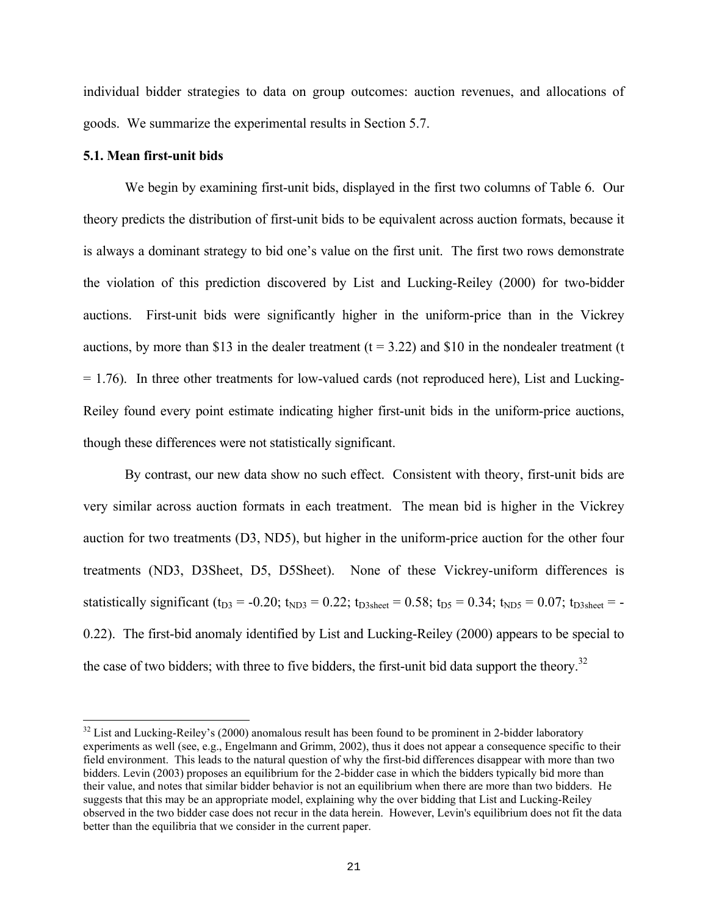individual bidder strategies to data on group outcomes: auction revenues, and allocations of goods. We summarize the experimental results in Section 5.7.

#### **5.1. Mean first-unit bids**

i

We begin by examining first-unit bids, displayed in the first two columns of Table 6. Our theory predicts the distribution of first-unit bids to be equivalent across auction formats, because it is always a dominant strategy to bid one's value on the first unit. The first two rows demonstrate the violation of this prediction discovered by List and Lucking-Reiley (2000) for two-bidder auctions. First-unit bids were significantly higher in the uniform-price than in the Vickrey auctions, by more than \$13 in the dealer treatment  $(t = 3.22)$  and \$10 in the nondealer treatment (t  $= 1.76$ ). In three other treatments for low-valued cards (not reproduced here), List and Lucking-Reiley found every point estimate indicating higher first-unit bids in the uniform-price auctions, though these differences were not statistically significant.

By contrast, our new data show no such effect. Consistent with theory, first-unit bids are very similar across auction formats in each treatment. The mean bid is higher in the Vickrey auction for two treatments (D3, ND5), but higher in the uniform-price auction for the other four treatments (ND3, D3Sheet, D5, D5Sheet). None of these Vickrey-uniform differences is statistically significant (t<sub>D3</sub> = -0.20; t<sub>ND3</sub> = 0.22; t<sub>D3sheet</sub> = 0.58; t<sub>D5</sub> = 0.34; t<sub>ND5</sub> = 0.07; t<sub>D3sheet</sub> = -0.22). The first-bid anomaly identified by List and Lucking-Reiley (2000) appears to be special to the case of two bidders; with three to five bidders, the first-unit bid data support the theory.<sup>32</sup>

 $32$  List and Lucking-Reiley's (2000) anomalous result has been found to be prominent in 2-bidder laboratory experiments as well (see, e.g., Engelmann and Grimm, 2002), thus it does not appear a consequence specific to their field environment. This leads to the natural question of why the first-bid differences disappear with more than two bidders. Levin (2003) proposes an equilibrium for the 2-bidder case in which the bidders typically bid more than their value, and notes that similar bidder behavior is not an equilibrium when there are more than two bidders. He suggests that this may be an appropriate model, explaining why the over bidding that List and Lucking-Reiley observed in the two bidder case does not recur in the data herein. However, Levin's equilibrium does not fit the data better than the equilibria that we consider in the current paper.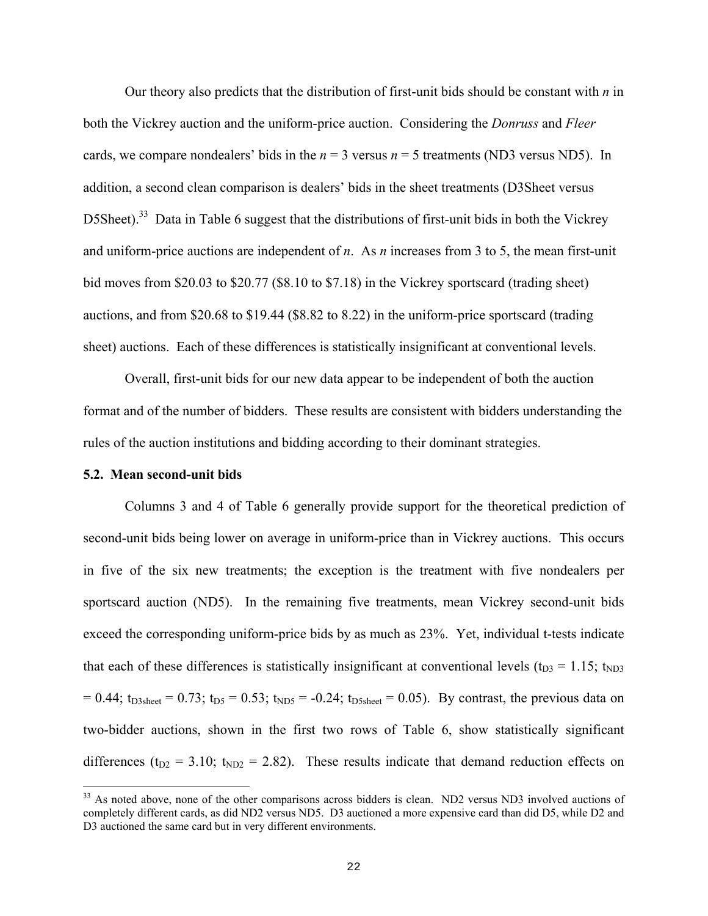Our theory also predicts that the distribution of first-unit bids should be constant with *n* in both the Vickrey auction and the uniform-price auction. Considering the *Donruss* and *Fleer* cards, we compare nondealers' bids in the  $n = 3$  versus  $n = 5$  treatments (ND3 versus ND5). In addition, a second clean comparison is dealers' bids in the sheet treatments (D3Sheet versus D5Sheet).<sup>33</sup> Data in Table 6 suggest that the distributions of first-unit bids in both the Vickrey and uniform-price auctions are independent of *n*. As *n* increases from 3 to 5, the mean first-unit bid moves from \$20.03 to \$20.77 (\$8.10 to \$7.18) in the Vickrey sportscard (trading sheet) auctions, and from \$20.68 to \$19.44 (\$8.82 to 8.22) in the uniform-price sportscard (trading sheet) auctions. Each of these differences is statistically insignificant at conventional levels.

Overall, first-unit bids for our new data appear to be independent of both the auction format and of the number of bidders. These results are consistent with bidders understanding the rules of the auction institutions and bidding according to their dominant strategies.

#### **5.2. Mean second-unit bids**

i

Columns 3 and 4 of Table 6 generally provide support for the theoretical prediction of second-unit bids being lower on average in uniform-price than in Vickrey auctions. This occurs in five of the six new treatments; the exception is the treatment with five nondealers per sportscard auction (ND5). In the remaining five treatments, mean Vickrey second-unit bids exceed the corresponding uniform-price bids by as much as 23%. Yet, individual t-tests indicate that each of these differences is statistically insignificant at conventional levels ( $t_{D3} = 1.15$ ;  $t_{ND3}$ )  $= 0.44$ ; t<sub>D3sheet</sub>  $= 0.73$ ; t<sub>D5</sub>  $= 0.53$ ; t<sub>ND5</sub>  $= -0.24$ ; t<sub>D5sheet</sub>  $= 0.05$ ). By contrast, the previous data on two-bidder auctions, shown in the first two rows of Table 6, show statistically significant differences ( $t_{D2}$  = 3.10;  $t_{ND2}$  = 2.82). These results indicate that demand reduction effects on

<sup>&</sup>lt;sup>33</sup> As noted above, none of the other comparisons across bidders is clean. ND2 versus ND3 involved auctions of completely different cards, as did ND2 versus ND5. D3 auctioned a more expensive card than did D5, while D2 and D3 auctioned the same card but in very different environments.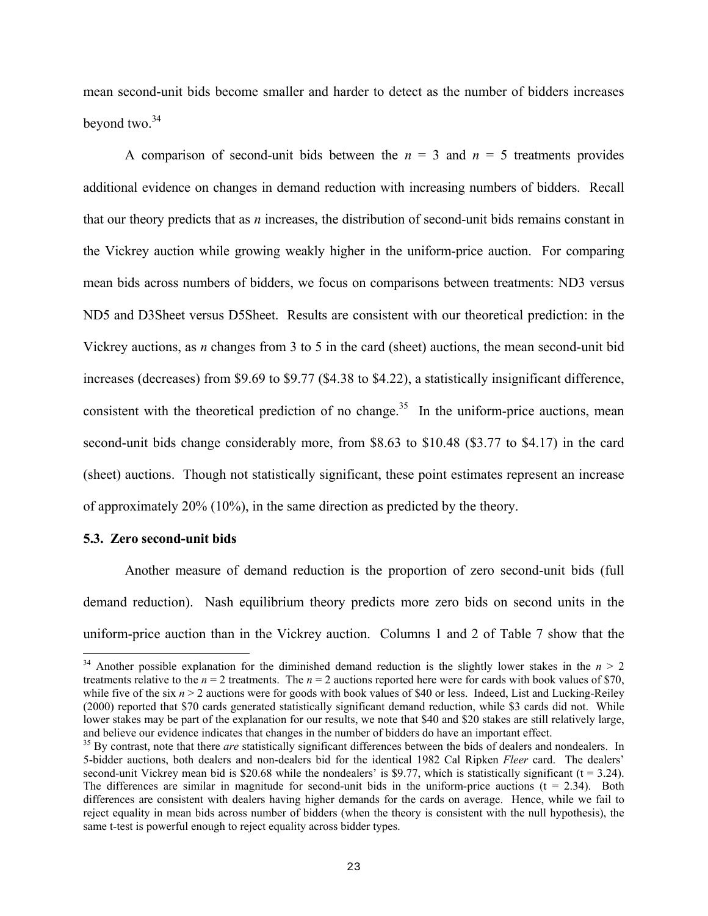mean second-unit bids become smaller and harder to detect as the number of bidders increases beyond two.<sup>34</sup>

A comparison of second-unit bids between the  $n = 3$  and  $n = 5$  treatments provides additional evidence on changes in demand reduction with increasing numbers of bidders. Recall that our theory predicts that as *n* increases, the distribution of second-unit bids remains constant in the Vickrey auction while growing weakly higher in the uniform-price auction. For comparing mean bids across numbers of bidders, we focus on comparisons between treatments: ND3 versus ND5 and D3Sheet versus D5Sheet. Results are consistent with our theoretical prediction: in the Vickrey auctions, as *n* changes from 3 to 5 in the card (sheet) auctions, the mean second-unit bid increases (decreases) from \$9.69 to \$9.77 (\$4.38 to \$4.22), a statistically insignificant difference, consistent with the theoretical prediction of no change.<sup>35</sup> In the uniform-price auctions, mean second-unit bids change considerably more, from \$8.63 to \$10.48 (\$3.77 to \$4.17) in the card (sheet) auctions. Though not statistically significant, these point estimates represent an increase of approximately 20% (10%), in the same direction as predicted by the theory.

#### **5.3. Zero second-unit bids**

i

Another measure of demand reduction is the proportion of zero second-unit bids (full demand reduction). Nash equilibrium theory predicts more zero bids on second units in the uniform-price auction than in the Vickrey auction. Columns 1 and 2 of Table 7 show that the

 $34$  Another possible explanation for the diminished demand reduction is the slightly lower stakes in the  $n > 2$ treatments relative to the  $n = 2$  treatments. The  $n = 2$  auctions reported here were for cards with book values of \$70, while five of the six  $n > 2$  auctions were for goods with book values of \$40 or less. Indeed, List and Lucking-Reiley (2000) reported that \$70 cards generated statistically significant demand reduction, while \$3 cards did not. While lower stakes may be part of the explanation for our results, we note that \$40 and \$20 stakes are still relatively large, and believe our evidence indicates that changes in the number of bidders do have an important effect.<br><sup>35</sup> By contrast, note that there *are* statistically significant differences between the bids of dealers and nondealers

<sup>5-</sup>bidder auctions, both dealers and non-dealers bid for the identical 1982 Cal Ripken *Fleer* card. The dealers' second-unit Vickrey mean bid is \$20.68 while the nondealers' is \$9.77, which is statistically significant ( $t = 3.24$ ). The differences are similar in magnitude for second-unit bids in the uniform-price auctions  $(t = 2.34)$ . Both differences are consistent with dealers having higher demands for the cards on average. Hence, while we fail to reject equality in mean bids across number of bidders (when the theory is consistent with the null hypothesis), the same t-test is powerful enough to reject equality across bidder types.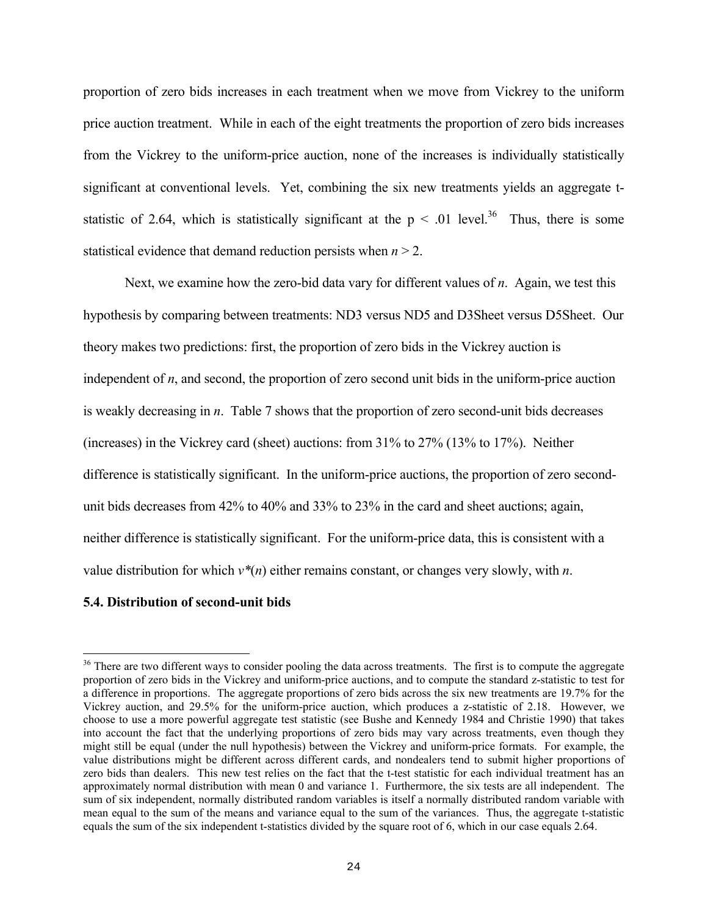proportion of zero bids increases in each treatment when we move from Vickrey to the uniform price auction treatment. While in each of the eight treatments the proportion of zero bids increases from the Vickrey to the uniform-price auction, none of the increases is individually statistically significant at conventional levels. Yet, combining the six new treatments yields an aggregate tstatistic of 2.64, which is statistically significant at the  $p \leq 0.01$  level.<sup>36</sup> Thus, there is some statistical evidence that demand reduction persists when *n* > 2.

Next, we examine how the zero-bid data vary for different values of *n*. Again, we test this hypothesis by comparing between treatments: ND3 versus ND5 and D3Sheet versus D5Sheet. Our theory makes two predictions: first, the proportion of zero bids in the Vickrey auction is independent of *n*, and second, the proportion of zero second unit bids in the uniform-price auction is weakly decreasing in *n*. Table 7 shows that the proportion of zero second-unit bids decreases (increases) in the Vickrey card (sheet) auctions: from 31% to 27% (13% to 17%). Neither difference is statistically significant. In the uniform-price auctions, the proportion of zero secondunit bids decreases from 42% to 40% and 33% to 23% in the card and sheet auctions; again, neither difference is statistically significant. For the uniform-price data, this is consistent with a value distribution for which *v\**(*n*) either remains constant, or changes very slowly, with *n*.

#### **5.4. Distribution of second-unit bids**

<sup>&</sup>lt;sup>36</sup> There are two different ways to consider pooling the data across treatments. The first is to compute the aggregate proportion of zero bids in the Vickrey and uniform-price auctions, and to compute the standard z-statistic to test for a difference in proportions. The aggregate proportions of zero bids across the six new treatments are 19.7% for the Vickrey auction, and 29.5% for the uniform-price auction, which produces a z-statistic of 2.18. However, we choose to use a more powerful aggregate test statistic (see Bushe and Kennedy 1984 and Christie 1990) that takes into account the fact that the underlying proportions of zero bids may vary across treatments, even though they might still be equal (under the null hypothesis) between the Vickrey and uniform-price formats. For example, the value distributions might be different across different cards, and nondealers tend to submit higher proportions of zero bids than dealers. This new test relies on the fact that the t-test statistic for each individual treatment has an approximately normal distribution with mean 0 and variance 1. Furthermore, the six tests are all independent. The sum of six independent, normally distributed random variables is itself a normally distributed random variable with mean equal to the sum of the means and variance equal to the sum of the variances. Thus, the aggregate t-statistic equals the sum of the six independent t-statistics divided by the square root of 6, which in our case equals 2.64.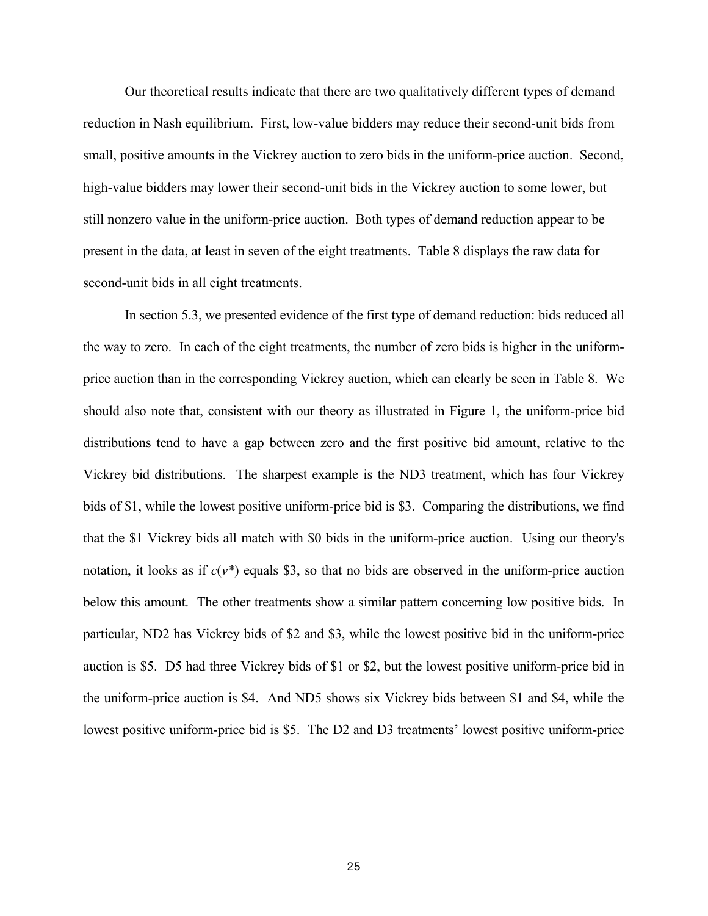Our theoretical results indicate that there are two qualitatively different types of demand reduction in Nash equilibrium. First, low-value bidders may reduce their second-unit bids from small, positive amounts in the Vickrey auction to zero bids in the uniform-price auction. Second, high-value bidders may lower their second-unit bids in the Vickrey auction to some lower, but still nonzero value in the uniform-price auction. Both types of demand reduction appear to be present in the data, at least in seven of the eight treatments. Table 8 displays the raw data for second-unit bids in all eight treatments.

In section 5.3, we presented evidence of the first type of demand reduction: bids reduced all the way to zero. In each of the eight treatments, the number of zero bids is higher in the uniformprice auction than in the corresponding Vickrey auction, which can clearly be seen in Table 8. We should also note that, consistent with our theory as illustrated in Figure 1, the uniform-price bid distributions tend to have a gap between zero and the first positive bid amount, relative to the Vickrey bid distributions. The sharpest example is the ND3 treatment, which has four Vickrey bids of \$1, while the lowest positive uniform-price bid is \$3. Comparing the distributions, we find that the \$1 Vickrey bids all match with \$0 bids in the uniform-price auction. Using our theory's notation, it looks as if  $c(v^*)$  equals \$3, so that no bids are observed in the uniform-price auction below this amount. The other treatments show a similar pattern concerning low positive bids. In particular, ND2 has Vickrey bids of \$2 and \$3, while the lowest positive bid in the uniform-price auction is \$5. D5 had three Vickrey bids of \$1 or \$2, but the lowest positive uniform-price bid in the uniform-price auction is \$4. And ND5 shows six Vickrey bids between \$1 and \$4, while the lowest positive uniform-price bid is \$5. The D2 and D3 treatments' lowest positive uniform-price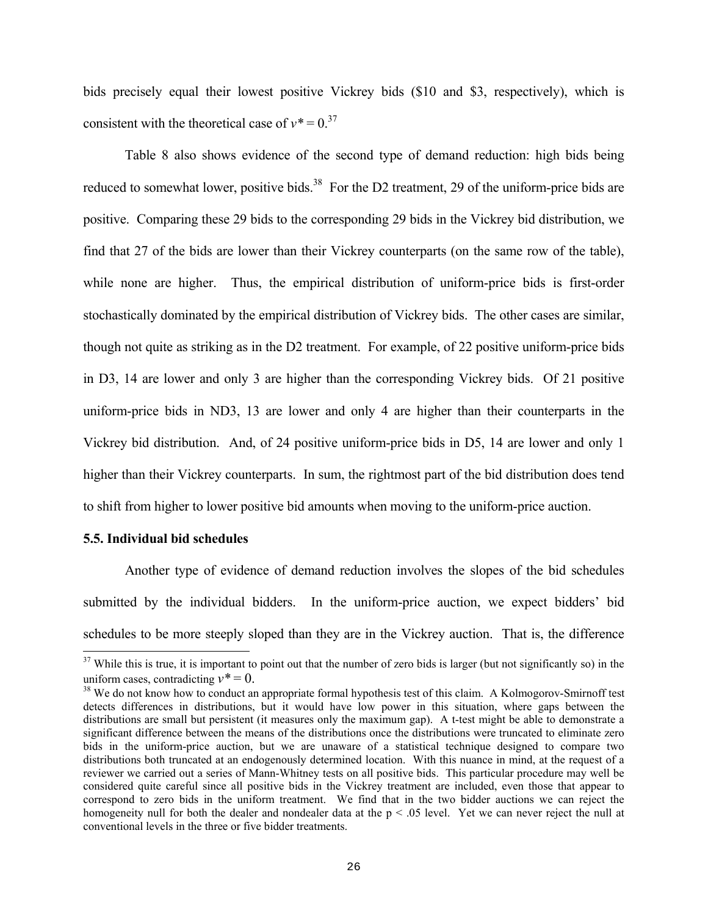bids precisely equal their lowest positive Vickrey bids (\$10 and \$3, respectively), which is consistent with the theoretical case of  $v^* = 0$ .<sup>37</sup>

Table 8 also shows evidence of the second type of demand reduction: high bids being reduced to somewhat lower, positive bids.<sup>38</sup> For the D2 treatment, 29 of the uniform-price bids are positive. Comparing these 29 bids to the corresponding 29 bids in the Vickrey bid distribution, we find that 27 of the bids are lower than their Vickrey counterparts (on the same row of the table), while none are higher. Thus, the empirical distribution of uniform-price bids is first-order stochastically dominated by the empirical distribution of Vickrey bids. The other cases are similar, though not quite as striking as in the D2 treatment. For example, of 22 positive uniform-price bids in D3, 14 are lower and only 3 are higher than the corresponding Vickrey bids. Of 21 positive uniform-price bids in ND3, 13 are lower and only 4 are higher than their counterparts in the Vickrey bid distribution. And, of 24 positive uniform-price bids in D5, 14 are lower and only 1 higher than their Vickrey counterparts. In sum, the rightmost part of the bid distribution does tend to shift from higher to lower positive bid amounts when moving to the uniform-price auction.

#### **5.5. Individual bid schedules**

i

Another type of evidence of demand reduction involves the slopes of the bid schedules submitted by the individual bidders. In the uniform-price auction, we expect bidders' bid schedules to be more steeply sloped than they are in the Vickrey auction. That is, the difference

 $37$  While this is true, it is important to point out that the number of zero bids is larger (but not significantly so) in the uniform cases, contradicting  $v^* = 0$ .<br><sup>38</sup> We do not know how to conduct an appropriate formal hypothesis test of this claim. A Kolmogorov-Smirnoff test

detects differences in distributions, but it would have low power in this situation, where gaps between the distributions are small but persistent (it measures only the maximum gap). A t-test might be able to demonstrate a significant difference between the means of the distributions once the distributions were truncated to eliminate zero bids in the uniform-price auction, but we are unaware of a statistical technique designed to compare two distributions both truncated at an endogenously determined location. With this nuance in mind, at the request of a reviewer we carried out a series of Mann-Whitney tests on all positive bids. This particular procedure may well be considered quite careful since all positive bids in the Vickrey treatment are included, even those that appear to correspond to zero bids in the uniform treatment. We find that in the two bidder auctions we can reject the homogeneity null for both the dealer and nondealer data at the  $p < .05$  level. Yet we can never reject the null at conventional levels in the three or five bidder treatments.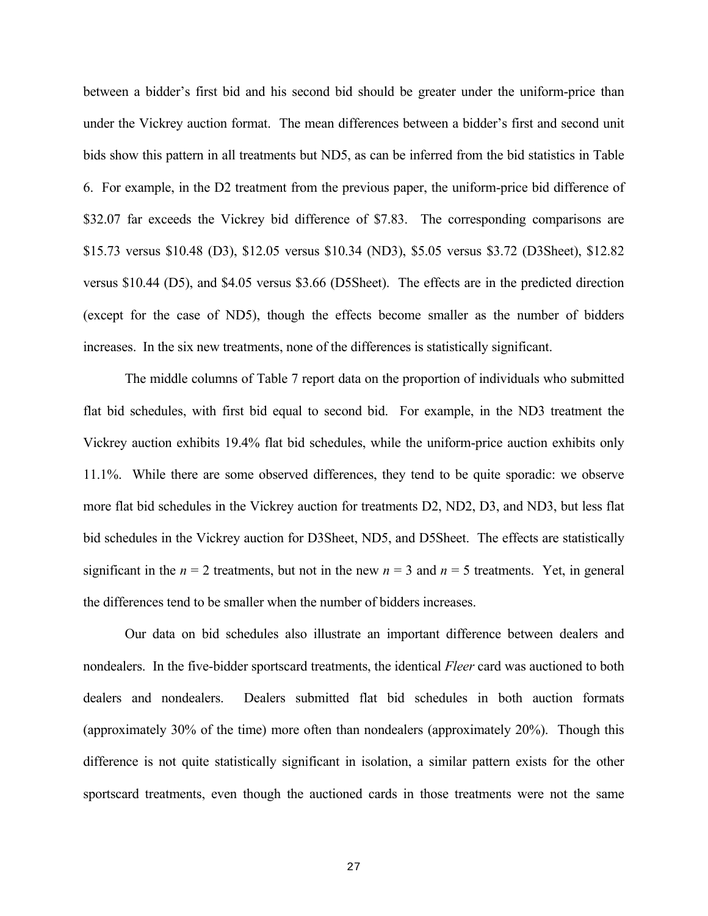between a bidder's first bid and his second bid should be greater under the uniform-price than under the Vickrey auction format. The mean differences between a bidder's first and second unit bids show this pattern in all treatments but ND5, as can be inferred from the bid statistics in Table 6. For example, in the D2 treatment from the previous paper, the uniform-price bid difference of \$32.07 far exceeds the Vickrey bid difference of \$7.83. The corresponding comparisons are \$15.73 versus \$10.48 (D3), \$12.05 versus \$10.34 (ND3), \$5.05 versus \$3.72 (D3Sheet), \$12.82 versus \$10.44 (D5), and \$4.05 versus \$3.66 (D5Sheet). The effects are in the predicted direction (except for the case of ND5), though the effects become smaller as the number of bidders increases. In the six new treatments, none of the differences is statistically significant.

The middle columns of Table 7 report data on the proportion of individuals who submitted flat bid schedules, with first bid equal to second bid. For example, in the ND3 treatment the Vickrey auction exhibits 19.4% flat bid schedules, while the uniform-price auction exhibits only 11.1%. While there are some observed differences, they tend to be quite sporadic: we observe more flat bid schedules in the Vickrey auction for treatments D2, ND2, D3, and ND3, but less flat bid schedules in the Vickrey auction for D3Sheet, ND5, and D5Sheet. The effects are statistically significant in the  $n = 2$  treatments, but not in the new  $n = 3$  and  $n = 5$  treatments. Yet, in general the differences tend to be smaller when the number of bidders increases.

Our data on bid schedules also illustrate an important difference between dealers and nondealers. In the five-bidder sportscard treatments, the identical *Fleer* card was auctioned to both dealers and nondealers. Dealers submitted flat bid schedules in both auction formats (approximately 30% of the time) more often than nondealers (approximately 20%). Though this difference is not quite statistically significant in isolation, a similar pattern exists for the other sportscard treatments, even though the auctioned cards in those treatments were not the same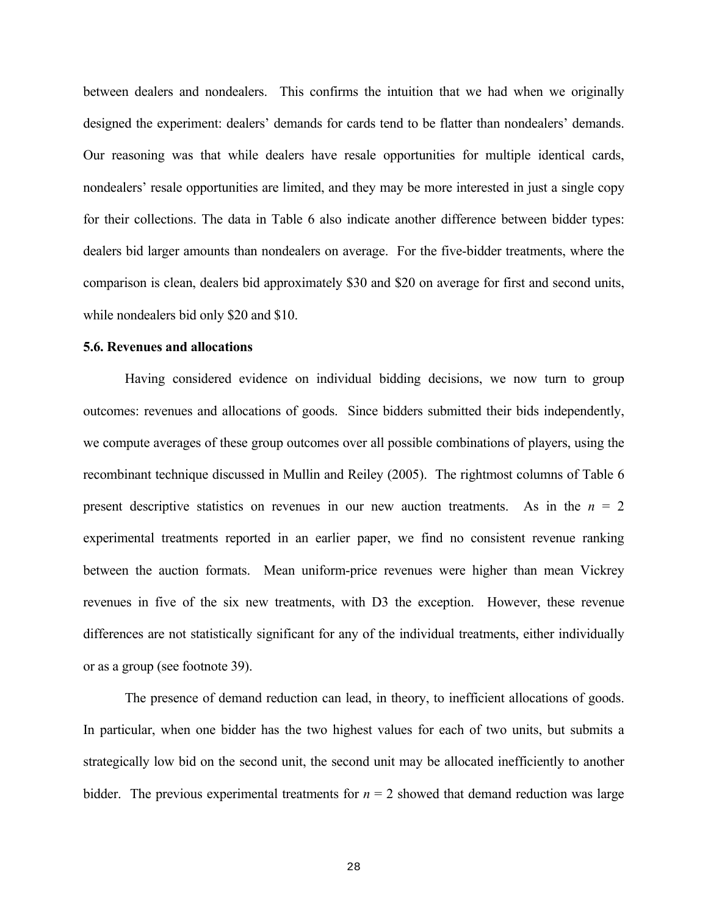between dealers and nondealers. This confirms the intuition that we had when we originally designed the experiment: dealers' demands for cards tend to be flatter than nondealers' demands. Our reasoning was that while dealers have resale opportunities for multiple identical cards, nondealers' resale opportunities are limited, and they may be more interested in just a single copy for their collections. The data in Table 6 also indicate another difference between bidder types: dealers bid larger amounts than nondealers on average. For the five-bidder treatments, where the comparison is clean, dealers bid approximately \$30 and \$20 on average for first and second units, while nondealers bid only \$20 and \$10.

#### **5.6. Revenues and allocations**

Having considered evidence on individual bidding decisions, we now turn to group outcomes: revenues and allocations of goods. Since bidders submitted their bids independently, we compute averages of these group outcomes over all possible combinations of players, using the recombinant technique discussed in Mullin and Reiley (2005). The rightmost columns of Table 6 present descriptive statistics on revenues in our new auction treatments. As in the  $n = 2$ experimental treatments reported in an earlier paper, we find no consistent revenue ranking between the auction formats. Mean uniform-price revenues were higher than mean Vickrey revenues in five of the six new treatments, with D3 the exception. However, these revenue differences are not statistically significant for any of the individual treatments, either individually or as a group (see footnote 39).

The presence of demand reduction can lead, in theory, to inefficient allocations of goods. In particular, when one bidder has the two highest values for each of two units, but submits a strategically low bid on the second unit, the second unit may be allocated inefficiently to another bidder. The previous experimental treatments for  $n = 2$  showed that demand reduction was large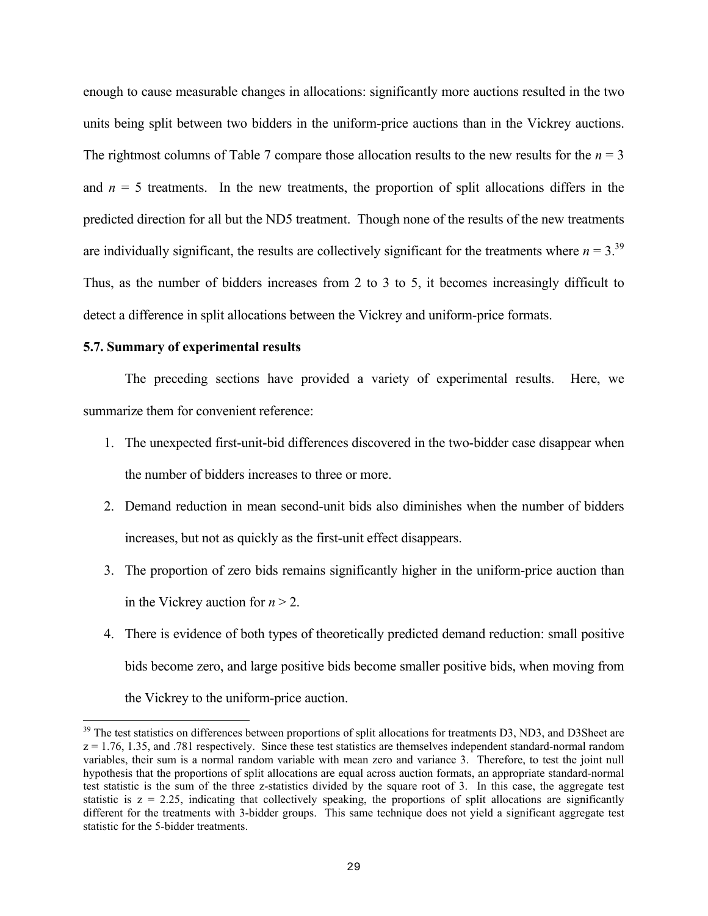enough to cause measurable changes in allocations: significantly more auctions resulted in the two units being split between two bidders in the uniform-price auctions than in the Vickrey auctions. The rightmost columns of Table 7 compare those allocation results to the new results for the  $n = 3$ and  $n = 5$  treatments. In the new treatments, the proportion of split allocations differs in the predicted direction for all but the ND5 treatment. Though none of the results of the new treatments are individually significant, the results are collectively significant for the treatments where  $n = 3$ .<sup>39</sup> Thus, as the number of bidders increases from 2 to 3 to 5, it becomes increasingly difficult to detect a difference in split allocations between the Vickrey and uniform-price formats.

### **5.7. Summary of experimental results**

i

The preceding sections have provided a variety of experimental results. Here, we summarize them for convenient reference:

- 1. The unexpected first-unit-bid differences discovered in the two-bidder case disappear when the number of bidders increases to three or more.
- 2. Demand reduction in mean second-unit bids also diminishes when the number of bidders increases, but not as quickly as the first-unit effect disappears.
- 3. The proportion of zero bids remains significantly higher in the uniform-price auction than in the Vickrey auction for  $n > 2$ .
- 4. There is evidence of both types of theoretically predicted demand reduction: small positive bids become zero, and large positive bids become smaller positive bids, when moving from the Vickrey to the uniform-price auction.

 $39$  The test statistics on differences between proportions of split allocations for treatments D3, ND3, and D3Sheet are  $z = 1.76$ , 1.35, and .781 respectively. Since these test statistics are themselves independent standard-normal random variables, their sum is a normal random variable with mean zero and variance 3. Therefore, to test the joint null hypothesis that the proportions of split allocations are equal across auction formats, an appropriate standard-normal test statistic is the sum of the three z-statistics divided by the square root of 3. In this case, the aggregate test statistic is  $z = 2.25$ , indicating that collectively speaking, the proportions of split allocations are significantly different for the treatments with 3-bidder groups. This same technique does not yield a significant aggregate test statistic for the 5-bidder treatments.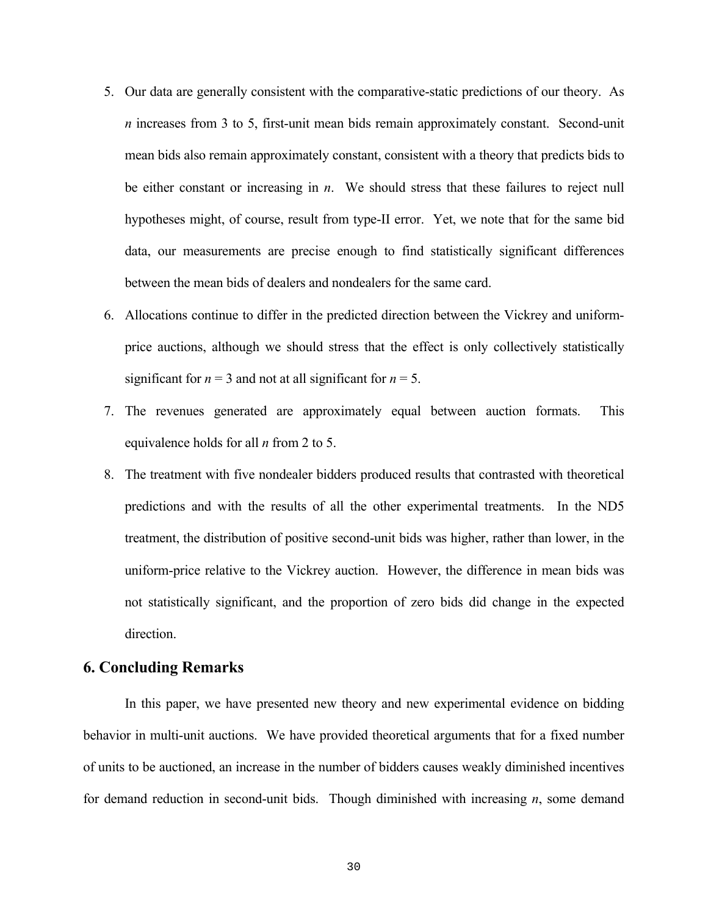- 5. Our data are generally consistent with the comparative-static predictions of our theory. As *n* increases from 3 to 5, first-unit mean bids remain approximately constant. Second-unit mean bids also remain approximately constant, consistent with a theory that predicts bids to be either constant or increasing in *n*. We should stress that these failures to reject null hypotheses might, of course, result from type-II error. Yet, we note that for the same bid data, our measurements are precise enough to find statistically significant differences between the mean bids of dealers and nondealers for the same card.
- 6. Allocations continue to differ in the predicted direction between the Vickrey and uniformprice auctions, although we should stress that the effect is only collectively statistically significant for  $n = 3$  and not at all significant for  $n = 5$ .
- 7. The revenues generated are approximately equal between auction formats. This equivalence holds for all *n* from 2 to 5.
- 8. The treatment with five nondealer bidders produced results that contrasted with theoretical predictions and with the results of all the other experimental treatments. In the ND5 treatment, the distribution of positive second-unit bids was higher, rather than lower, in the uniform-price relative to the Vickrey auction. However, the difference in mean bids was not statistically significant, and the proportion of zero bids did change in the expected direction.

# **6. Concluding Remarks**

In this paper, we have presented new theory and new experimental evidence on bidding behavior in multi-unit auctions. We have provided theoretical arguments that for a fixed number of units to be auctioned, an increase in the number of bidders causes weakly diminished incentives for demand reduction in second-unit bids. Though diminished with increasing *n*, some demand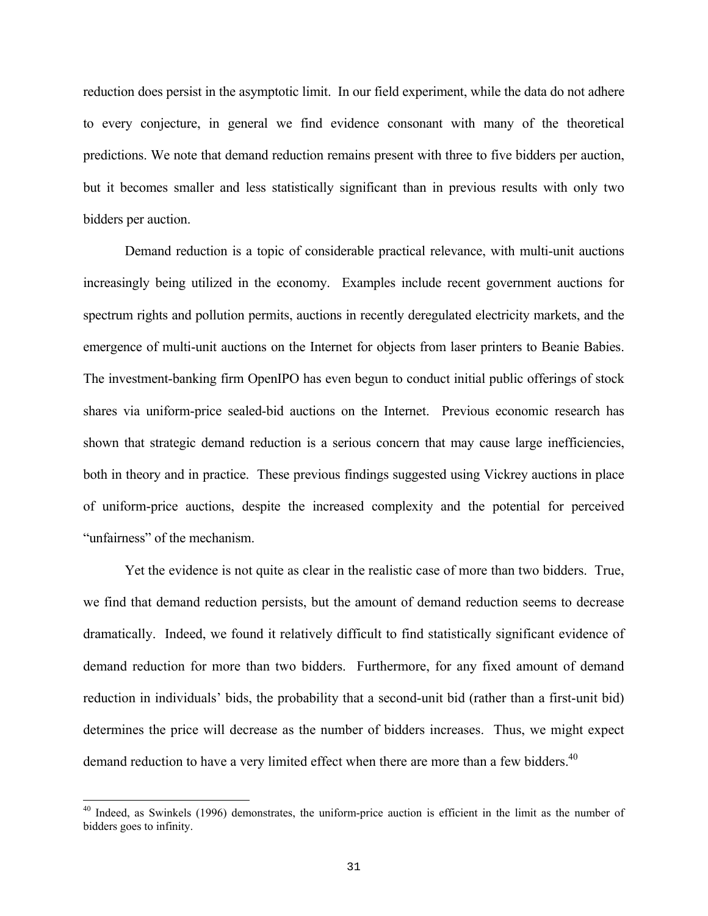reduction does persist in the asymptotic limit. In our field experiment, while the data do not adhere to every conjecture, in general we find evidence consonant with many of the theoretical predictions. We note that demand reduction remains present with three to five bidders per auction, but it becomes smaller and less statistically significant than in previous results with only two bidders per auction.

Demand reduction is a topic of considerable practical relevance, with multi-unit auctions increasingly being utilized in the economy. Examples include recent government auctions for spectrum rights and pollution permits, auctions in recently deregulated electricity markets, and the emergence of multi-unit auctions on the Internet for objects from laser printers to Beanie Babies. The investment-banking firm OpenIPO has even begun to conduct initial public offerings of stock shares via uniform-price sealed-bid auctions on the Internet. Previous economic research has shown that strategic demand reduction is a serious concern that may cause large inefficiencies, both in theory and in practice. These previous findings suggested using Vickrey auctions in place of uniform-price auctions, despite the increased complexity and the potential for perceived "unfairness" of the mechanism.

Yet the evidence is not quite as clear in the realistic case of more than two bidders. True, we find that demand reduction persists, but the amount of demand reduction seems to decrease dramatically. Indeed, we found it relatively difficult to find statistically significant evidence of demand reduction for more than two bidders. Furthermore, for any fixed amount of demand reduction in individuals' bids, the probability that a second-unit bid (rather than a first-unit bid) determines the price will decrease as the number of bidders increases. Thus, we might expect demand reduction to have a very limited effect when there are more than a few bidders.<sup>40</sup>

<sup>&</sup>lt;sup>40</sup> Indeed, as Swinkels (1996) demonstrates, the uniform-price auction is efficient in the limit as the number of bidders goes to infinity.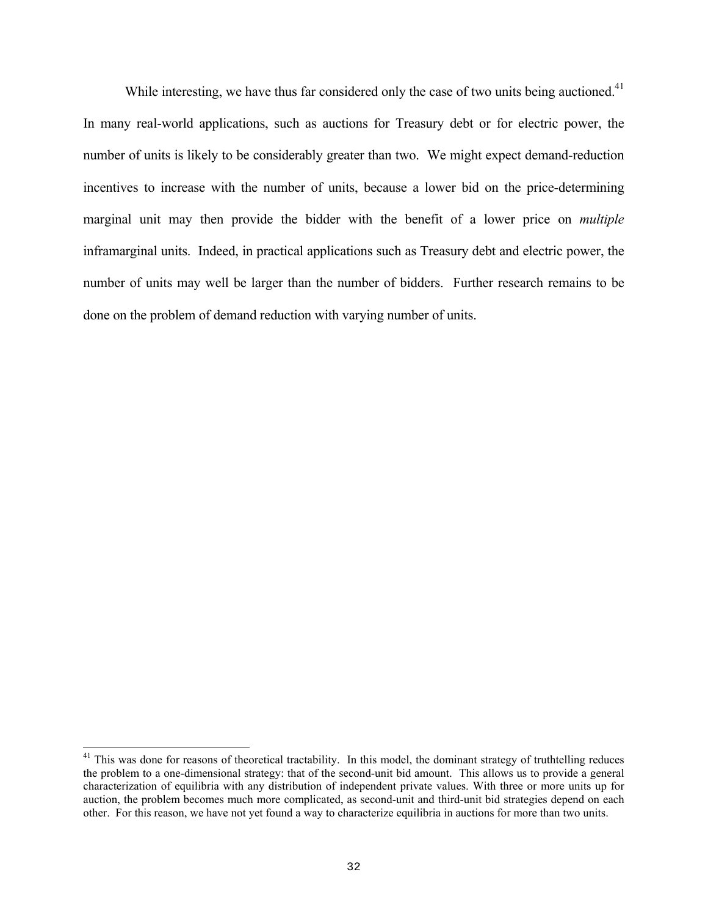While interesting, we have thus far considered only the case of two units being auctioned.<sup>41</sup> In many real-world applications, such as auctions for Treasury debt or for electric power, the number of units is likely to be considerably greater than two. We might expect demand-reduction incentives to increase with the number of units, because a lower bid on the price-determining marginal unit may then provide the bidder with the benefit of a lower price on *multiple* inframarginal units. Indeed, in practical applications such as Treasury debt and electric power, the number of units may well be larger than the number of bidders. Further research remains to be done on the problem of demand reduction with varying number of units.

<sup>&</sup>lt;sup>41</sup> This was done for reasons of theoretical tractability. In this model, the dominant strategy of truthtelling reduces the problem to a one-dimensional strategy: that of the second-unit bid amount. This allows us to provide a general characterization of equilibria with any distribution of independent private values. With three or more units up for auction, the problem becomes much more complicated, as second-unit and third-unit bid strategies depend on each other. For this reason, we have not yet found a way to characterize equilibria in auctions for more than two units.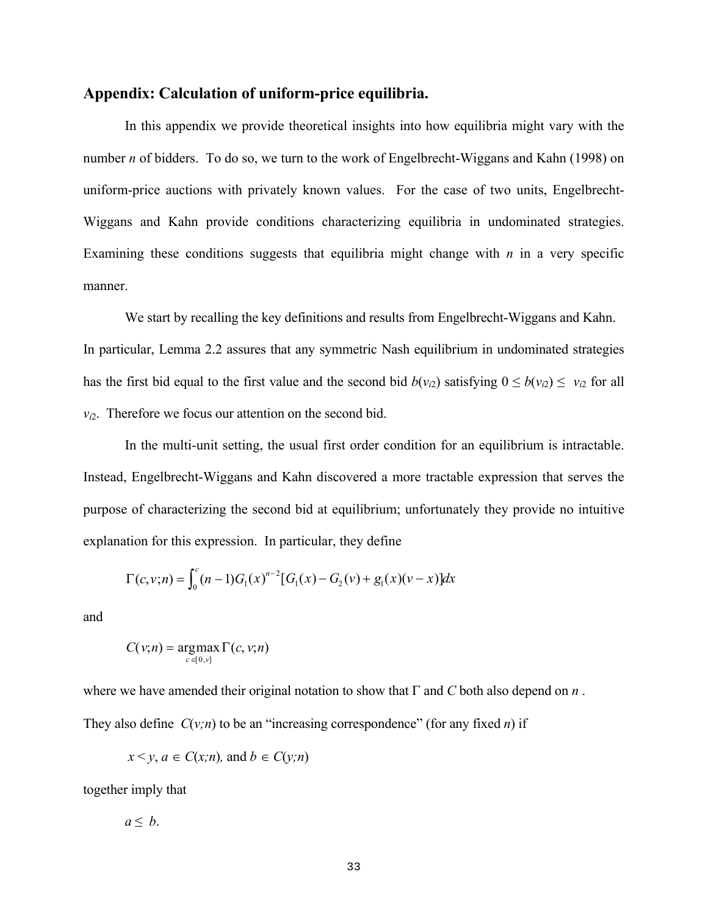## **Appendix: Calculation of uniform-price equilibria.**

In this appendix we provide theoretical insights into how equilibria might vary with the number *n* of bidders. To do so, we turn to the work of Engelbrecht-Wiggans and Kahn (1998) on uniform-price auctions with privately known values. For the case of two units, Engelbrecht-Wiggans and Kahn provide conditions characterizing equilibria in undominated strategies. Examining these conditions suggests that equilibria might change with  $n$  in a very specific manner.

We start by recalling the key definitions and results from Engelbrecht-Wiggans and Kahn. In particular, Lemma 2.2 assures that any symmetric Nash equilibrium in undominated strategies has the first bid equal to the first value and the second bid  $b(v_i)$  satisfying  $0 \le b(v_i) \le v_i$  for all *vi*2. Therefore we focus our attention on the second bid.

In the multi-unit setting, the usual first order condition for an equilibrium is intractable. Instead, Engelbrecht-Wiggans and Kahn discovered a more tractable expression that serves the purpose of characterizing the second bid at equilibrium; unfortunately they provide no intuitive explanation for this expression. In particular, they define

$$
\Gamma(c, v; n) = \int_0^c (n-1)G_1(x)^{n-2} [G_1(x) - G_2(v) + g_1(x)(v-x)]dx
$$

and

$$
C(v;n) = \underset{c \in [0,v]}{\operatorname{argmax}} \Gamma(c,v;n)
$$

where we have amended their original notation to show that Γ and *C* both also depend on *n* . They also define  $C(v;n)$  to be an "increasing correspondence" (for any fixed *n*) if

$$
x < y, a \in C(x;n)
$$
, and  $b \in C(y;n)$ 

together imply that

 $a < b$ .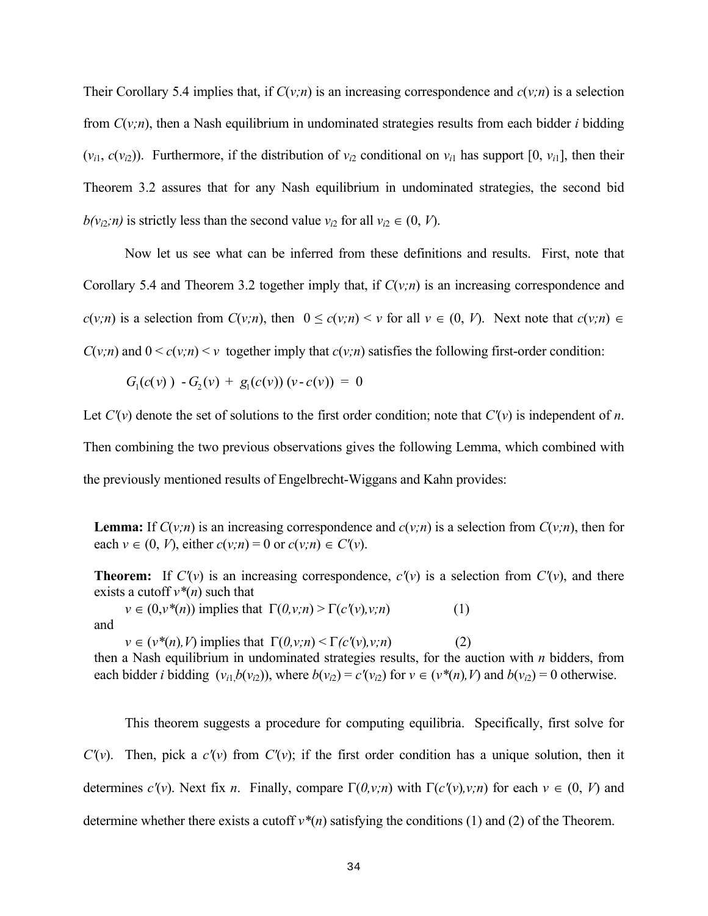Their Corollary 5.4 implies that, if  $C(v;n)$  is an increasing correspondence and  $c(v;n)$  is a selection from *C*(*v;n*), then a Nash equilibrium in undominated strategies results from each bidder *i* bidding  $(v_{i1}, c(v_{i2}))$ . Furthermore, if the distribution of  $v_{i2}$  conditional on  $v_{i1}$  has support [0,  $v_{i1}$ ], then their Theorem 3.2 assures that for any Nash equilibrium in undominated strategies, the second bid  $b(v_{i2};n)$  is strictly less than the second value  $v_{i2}$  for all  $v_{i2} \in (0, V)$ .

Now let us see what can be inferred from these definitions and results. First, note that Corollary 5.4 and Theorem 3.2 together imply that, if *C*(*v;n*) is an increasing correspondence and *c*(*v;n*) is a selection from *C*(*v;n*), then 0 ≤ *c*(*v;n*) < *v* for all *v* ∈ (0, *V*). Next note that *c*(*v;n*) ∈  $C(v; n)$  and  $0 \leq c(v; n) \leq v$  together imply that  $c(v; n)$  satisfies the following first-order condition:

$$
G_1(c(v)) - G_2(v) + g_1(c(v)) (v - c(v)) = 0
$$

Let  $C'(v)$  denote the set of solutions to the first order condition; note that  $C'(v)$  is independent of *n*. Then combining the two previous observations gives the following Lemma, which combined with the previously mentioned results of Engelbrecht-Wiggans and Kahn provides:

**Lemma:** If  $C(v;n)$  is an increasing correspondence and  $c(v;n)$  is a selection from  $C(v;n)$ , then for each  $v \in (0, V)$ , either  $c(v;n) = 0$  or  $c(v;n) \in C'(v)$ .

**Theorem:** If  $C'(v)$  is an increasing correspondence,  $c'(v)$  is a selection from  $C'(v)$ , and there exists a cutoff  $v^*(n)$  such that

 $v \in (0, v^*(n))$  implies that  $\Gamma(0, v; n) > \Gamma(c'(v), v; n)$  (1) and

 $v \in (v^*(n), V)$  implies that  $\Gamma(0, v; n) \leq \Gamma(c'(v), v; n)$  (2) then a Nash equilibrium in undominated strategies results, for the auction with *n* bidders, from each bidder *i* bidding  $(v_i, b(v_i))$ , where  $b(v_i) = c'(v_i)$  for  $v \in (v^*(n), V)$  and  $b(v_i) = 0$  otherwise.

This theorem suggests a procedure for computing equilibria. Specifically, first solve for *C'(v)*. Then, pick a  $c'(v)$  from  $C'(v)$ ; if the first order condition has a unique solution, then it determines  $c'(v)$ . Next fix *n*. Finally, compare  $\Gamma(0, v; n)$  with  $\Gamma(c'(v), v; n)$  for each  $v \in (0, V)$  and determine whether there exists a cutoff  $v^*(n)$  satisfying the conditions (1) and (2) of the Theorem.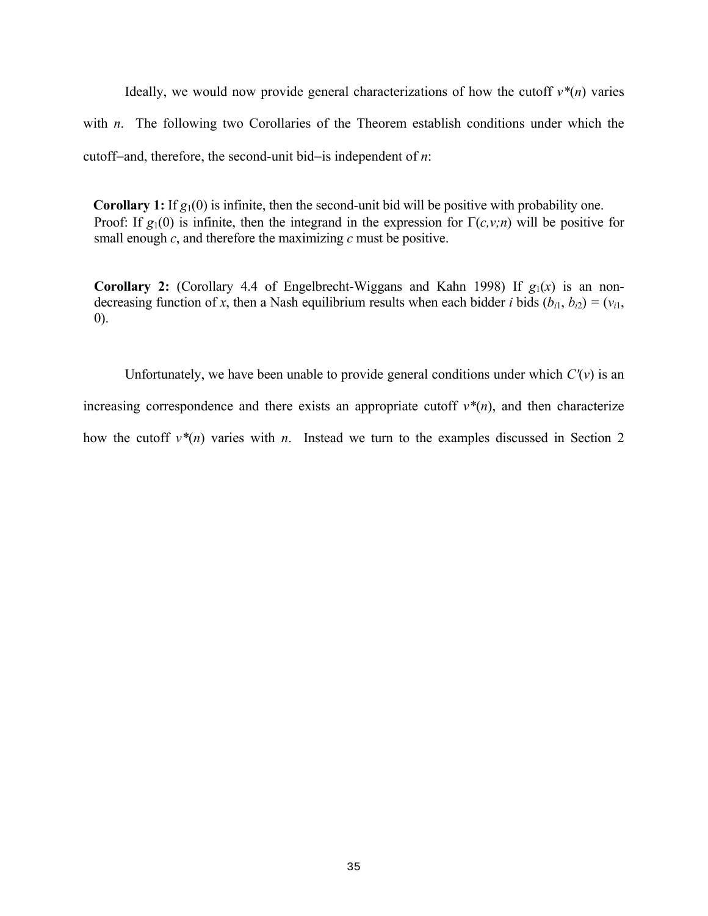Ideally, we would now provide general characterizations of how the cutoff  $v^*(n)$  varies with *n*. The following two Corollaries of the Theorem establish conditions under which the cutoff−and, therefore, the second-unit bid−is independent of *n*:

**Corollary 1:** If  $g_1(0)$  is infinite, then the second-unit bid will be positive with probability one. Proof: If  $g_1(0)$  is infinite, then the integrand in the expression for  $\Gamma(c, v; n)$  will be positive for small enough  $c$ , and therefore the maximizing  $c$  must be positive.

**Corollary 2:** (Corollary 4.4 of Engelbrecht-Wiggans and Kahn 1998) If  $g_1(x)$  is an nondecreasing function of *x*, then a Nash equilibrium results when each bidder *i* bids  $(b_{i1}, b_{i2}) = (v_{i1}, b_{i2})$ 0).

Unfortunately, we have been unable to provide general conditions under which  $C'(v)$  is an increasing correspondence and there exists an appropriate cutoff  $v^*(n)$ , and then characterize how the cutoff  $v^*(n)$  varies with *n*. Instead we turn to the examples discussed in Section 2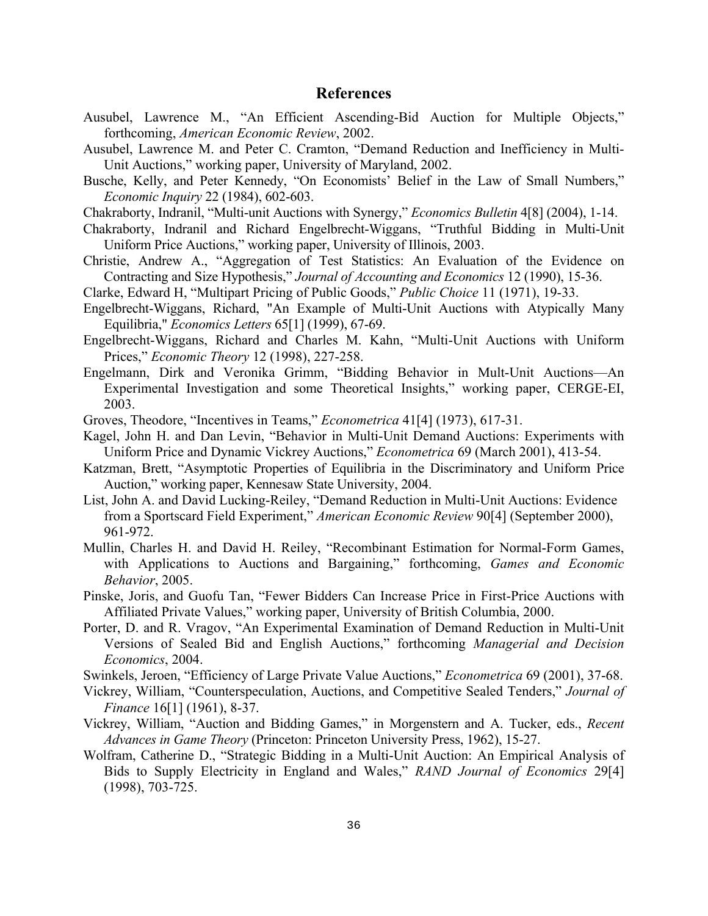## **References**

- Ausubel, Lawrence M., "An Efficient Ascending-Bid Auction for Multiple Objects," forthcoming, *American Economic Review*, 2002.
- Ausubel, Lawrence M. and Peter C. Cramton, "Demand Reduction and Inefficiency in Multi-Unit Auctions," working paper, University of Maryland, 2002.
- Busche, Kelly, and Peter Kennedy, "On Economists' Belief in the Law of Small Numbers," *Economic Inquiry* 22 (1984), 602-603.
- Chakraborty, Indranil, "Multi-unit Auctions with Synergy," *Economics Bulletin* 4[8] (2004), 1-14.
- Chakraborty, Indranil and Richard Engelbrecht-Wiggans, "Truthful Bidding in Multi-Unit Uniform Price Auctions," working paper, University of Illinois, 2003.
- Christie, Andrew A., "Aggregation of Test Statistics: An Evaluation of the Evidence on Contracting and Size Hypothesis," *Journal of Accounting and Economics* 12 (1990), 15-36.
- Clarke, Edward H, "Multipart Pricing of Public Goods," *Public Choice* 11 (1971), 19-33.
- Engelbrecht-Wiggans, Richard, "An Example of Multi-Unit Auctions with Atypically Many Equilibria," *Economics Letters* 65[1] (1999), 67-69.
- Engelbrecht-Wiggans, Richard and Charles M. Kahn, "Multi-Unit Auctions with Uniform Prices," *Economic Theory* 12 (1998), 227-258.
- Engelmann, Dirk and Veronika Grimm, "Bidding Behavior in Mult-Unit Auctions—An Experimental Investigation and some Theoretical Insights," working paper, CERGE-EI, 2003.
- Groves, Theodore, "Incentives in Teams," *Econometrica* 41[4] (1973), 617-31.
- Kagel, John H. and Dan Levin, "Behavior in Multi-Unit Demand Auctions: Experiments with Uniform Price and Dynamic Vickrey Auctions," *Econometrica* 69 (March 2001), 413-54.
- Katzman, Brett, "Asymptotic Properties of Equilibria in the Discriminatory and Uniform Price Auction," working paper, Kennesaw State University, 2004.
- List, John A. and David Lucking-Reiley, "Demand Reduction in Multi-Unit Auctions: Evidence from a Sportscard Field Experiment," *American Economic Review* 90[4] (September 2000), 961-972.
- Mullin, Charles H. and David H. Reiley, "Recombinant Estimation for Normal-Form Games, with Applications to Auctions and Bargaining," forthcoming, *Games and Economic Behavior*, 2005.
- Pinske, Joris, and Guofu Tan, "Fewer Bidders Can Increase Price in First-Price Auctions with Affiliated Private Values," working paper, University of British Columbia, 2000.
- Porter, D. and R. Vragov, "An Experimental Examination of Demand Reduction in Multi-Unit Versions of Sealed Bid and English Auctions," forthcoming *Managerial and Decision Economics*, 2004.
- Swinkels, Jeroen, "Efficiency of Large Private Value Auctions," *Econometrica* 69 (2001), 37-68.
- Vickrey, William, "Counterspeculation, Auctions, and Competitive Sealed Tenders," *Journal of Finance* 16[1] (1961), 8-37.
- Vickrey, William, "Auction and Bidding Games," in Morgenstern and A. Tucker, eds., *Recent Advances in Game Theory* (Princeton: Princeton University Press, 1962), 15-27.
- Wolfram, Catherine D., "Strategic Bidding in a Multi-Unit Auction: An Empirical Analysis of Bids to Supply Electricity in England and Wales," *RAND Journal of Economics* 29[4] (1998), 703-725.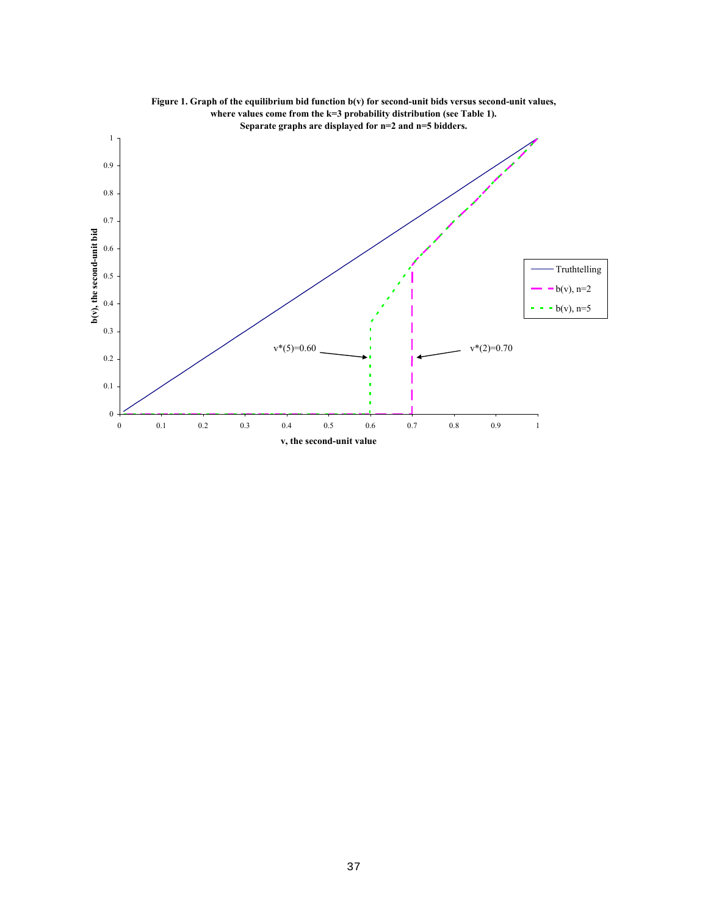

**Figure 1. Graph of the equilibrium bid function b(v) for second-unit bids versus second-unit values, where values come from the k=3 probability distribution (see Table 1).**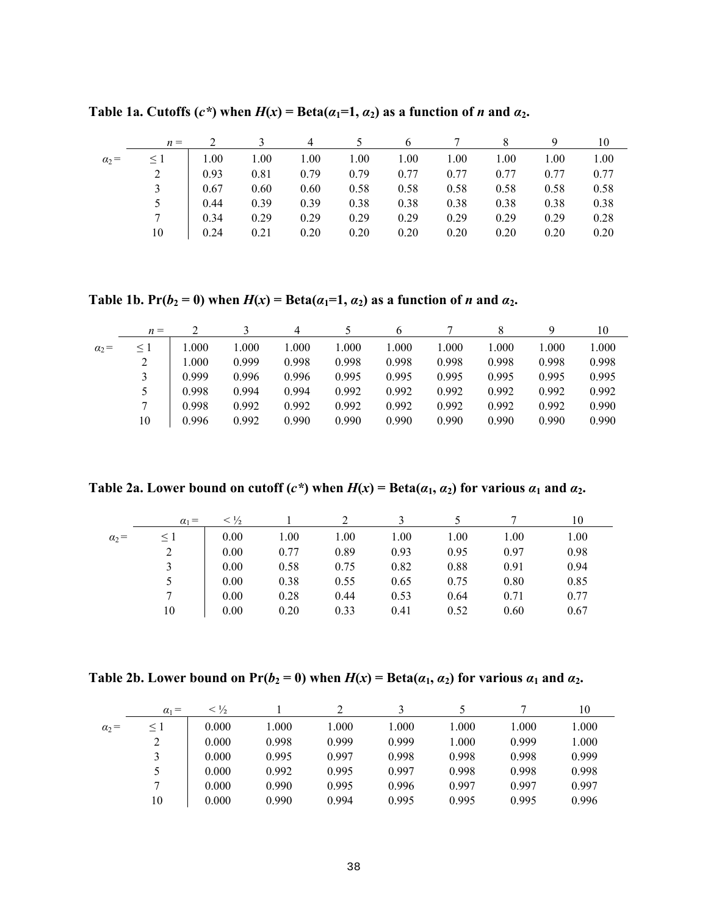|              | $n =$    |      |      |      |      |      |      |      |      | 10   |
|--------------|----------|------|------|------|------|------|------|------|------|------|
| $\alpha_2 =$ | $\leq 1$ | 1.00 | 1.00 | 1.00 | 1.00 | 1.00 | 1.00 | 1.00 | 1.00 | 1.00 |
|              |          | 0.93 | 0.81 | 0.79 | 0.79 | 0.77 | 0.77 | 0.77 | 0.77 | 0.77 |
|              |          | 0.67 | 0.60 | 0.60 | 0.58 | 0.58 | 0.58 | 0.58 | 0.58 | 0.58 |
|              | 5        | 0.44 | 0.39 | 0.39 | 0.38 | 0.38 | 0.38 | 0.38 | 0.38 | 0.38 |
|              |          | 0.34 | 0.29 | 0.29 | 0.29 | 0.29 | 0.29 | 0.29 | 0.29 | 0.28 |
|              | 10       | 0.24 | 0.21 | 0.20 | 0.20 | 0.20 | 0.20 | 0.20 | 0.20 | 0.20 |

**Table 1a. Cutoffs (***c\****) when**  $H(x) = \text{Beta}(a_1=1, a_2)$  **as a function of** *n* **and**  $a_2$ **.** 

**Table 1b.** Pr( $b_2 = 0$ ) when  $H(x) = \text{Beta}(a_1=1, a_2)$  as a function of *n* and  $a_2$ .

|              | $n =$    |       |       | 4     |       |       |       |       |       | 10    |
|--------------|----------|-------|-------|-------|-------|-------|-------|-------|-------|-------|
| $\alpha_2 =$ | $\leq$ 1 | 000.1 | 1.000 | 1.000 | 1.000 | 1.000 | .000  | 1.000 | 0.001 | 1.000 |
|              |          | 1.000 | 0.999 | 0.998 | 0.998 | 0.998 | 0.998 | 0.998 | 0.998 | 0.998 |
|              |          | 0.999 | 0.996 | 0.996 | 0.995 | 0.995 | 0.995 | 0.995 | 0.995 | 0.995 |
|              |          | 0.998 | 0.994 | 0.994 | 0.992 | 0.992 | 0.992 | 0.992 | 0.992 | 0.992 |
|              |          | 0.998 | 0.992 | 0.992 | 0.992 | 0.992 | 0.992 | 0.992 | 0.992 | 0.990 |
|              | 10       | 0.996 | 0.992 | 0.990 | 0.990 | 0.990 | 0.990 | 0.990 | 0.990 | 0.990 |

**Table 2a.** Lower bound on cutoff  $(c^*)$  when  $H(x) = \text{Beta}(a_1, a_2)$  for various  $a_1$  and  $a_2$ .

|              | $\alpha_1 =$ | $<\frac{1}{2}$ |      |      |      |      |      | 10   |
|--------------|--------------|----------------|------|------|------|------|------|------|
| $\alpha_2 =$ | $\leq 1$     | 0.00           | 1.00 | 1.00 | 1.00 | 1.00 | 1.00 | 1.00 |
|              | 2            | 0.00           | 0.77 | 0.89 | 0.93 | 0.95 | 0.97 | 0.98 |
|              |              | 0.00           | 0.58 | 0.75 | 0.82 | 0.88 | 0.91 | 0.94 |
|              |              | 0.00           | 0.38 | 0.55 | 0.65 | 0.75 | 0.80 | 0.85 |
|              |              | 0.00           | 0.28 | 0.44 | 0.53 | 0.64 | 0.71 | 0.77 |
|              | 10           | 0.00           | 0.20 | 0.33 | 0.41 | 0.52 | 0.60 | 0.67 |

**Table 2b.** Lower bound on  $Pr(b_2 = 0)$  when  $H(x) = Beta(a_1, a_2)$  for various  $a_1$  and  $a_2$ .

|              | $\alpha_1 =$ | $< \frac{1}{2}$ |       |       |       |       |       | 10    |
|--------------|--------------|-----------------|-------|-------|-------|-------|-------|-------|
| $\alpha_2 =$ | $\leq$ 1     | 0.000           | 1.000 | 000.1 | .000  | 1.000 | 1.000 | 1.000 |
|              | 2            | 0.000           | 0.998 | 0.999 | 0.999 | 1.000 | 0.999 | 1.000 |
|              |              | 0.000           | 0.995 | 0.997 | 0.998 | 0.998 | 0.998 | 0.999 |
|              | 5            | 0.000           | 0.992 | 0.995 | 0.997 | 0.998 | 0.998 | 0.998 |
|              | 7            | 0.000           | 0.990 | 0.995 | 0.996 | 0.997 | 0.997 | 0.997 |
|              | 10           | 0.000           | 0.990 | 0.994 | 0.995 | 0.995 | 0.995 | 0.996 |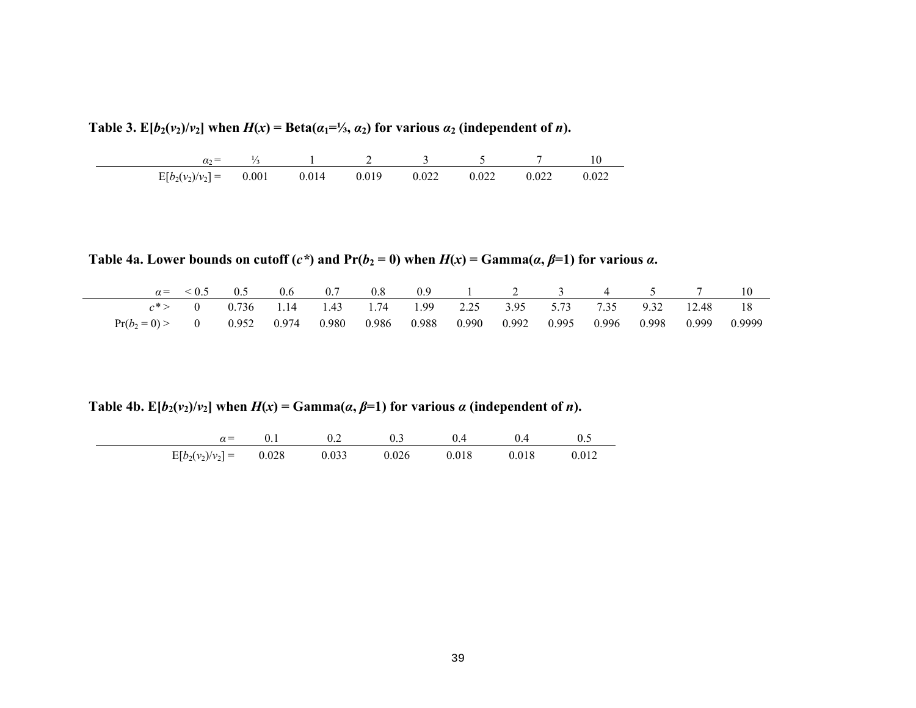Table 3.  $E[b_2(v_2)/v_2]$  when  $H(x) = \text{Beta}(\alpha_1 = \frac{1}{3}, \alpha_2)$  for various  $\alpha_2$  (independent of *n*).

| $\alpha_{2}$ -      |       |       |       |       |       |       |       |
|---------------------|-------|-------|-------|-------|-------|-------|-------|
| $E[b_2(v_2)/v_2] =$ | 0.001 | 0.014 | 0.019 | 0.022 | 0.022 | 0.022 | 0.022 |

**Table 4a.** Lower bounds on cutoff  $(c^*)$  and  $Pr(b_2 = 0)$  when  $H(x) = \text{Gamma}(a, \beta = 1)$  for various  $a$ .

|                                                                                          | $\alpha = \begin{pmatrix} 0.5 & 0.5 & 0.6 & 0.7 & 0.8 & 0.9 & 1 & 2 & 3 & 4 & 5 & 7 & 10 \end{pmatrix}$ |  |  |  |  |  |  |
|------------------------------------------------------------------------------------------|---------------------------------------------------------------------------------------------------------|--|--|--|--|--|--|
|                                                                                          | $c^*$ > 0 0.736 1.14 1.43 1.74 1.99 2.25 3.95 5.73 7.35 9.32 12.48 18                                   |  |  |  |  |  |  |
| $Pr(b_2=0) > 0$ 0.952 0.974 0.980 0.986 0.988 0.990 0.992 0.995 0.996 0.998 0.999 0.9999 |                                                                                                         |  |  |  |  |  |  |

**Table 4b.**  $E[b_2(v_2)/v_2]$  when  $H(x) = \text{Gamma}(\alpha, \beta=1)$  for various  $\alpha$  (independent of *n*).

| $\gamma =$                      |  |       |       |       |       |
|---------------------------------|--|-------|-------|-------|-------|
| $E[b_2(v_2)/v_2] =$ 0.028 0.033 |  | 0.026 | 0.018 | 0.018 | 0.012 |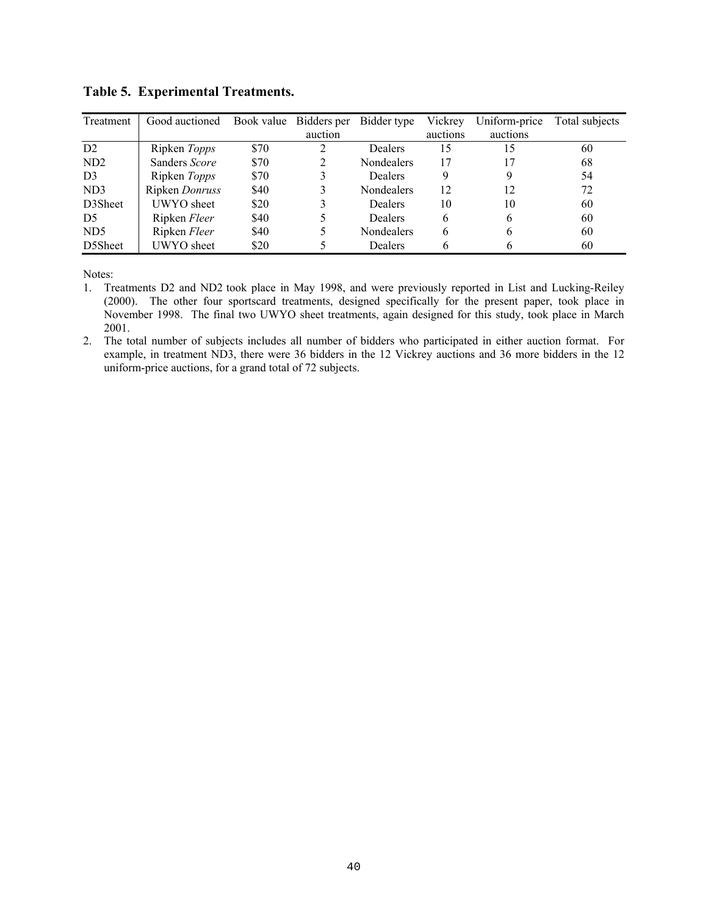| Treatment       | Good auctioned | Book value | Bidders per | Bidder type       | Vickrey  | Uniform-price | Total subjects |
|-----------------|----------------|------------|-------------|-------------------|----------|---------------|----------------|
|                 |                |            | auction     |                   | auctions | auctions      |                |
| D2              | Ripken Topps   | \$70       |             | Dealers           | 15       | 15            | 60             |
| ND <sub>2</sub> | Sanders Score  | \$70       |             | Nondealers        | 17       |               | 68             |
| D <sub>3</sub>  | Ripken Topps   | \$70       |             | <b>Dealers</b>    | 9        | 9             | 54             |
| ND3             | Ripken Donruss | \$40       |             | <b>Nondealers</b> | 12       | 12            | 72             |
| D3Sheet         | UWYO sheet     | \$20       |             | <b>Dealers</b>    | 10       | 10            | 60             |
| D <sub>5</sub>  | Ripken Fleer   | \$40       |             | <b>Dealers</b>    | 6        | 6             | 60             |
| ND <sub>5</sub> | Ripken Fleer   | \$40       |             | Nondealers        | b        | b             | 60             |
| D5Sheet         | UWYO sheet     | \$20       |             | Dealers           |          |               | 60             |

# **Table 5. Experimental Treatments.**

Notes:

- 1. Treatments D2 and ND2 took place in May 1998, and were previously reported in List and Lucking-Reiley (2000). The other four sportscard treatments, designed specifically for the present paper, took place in November 1998. The final two UWYO sheet treatments, again designed for this study, took place in March 2001.
- 2. The total number of subjects includes all number of bidders who participated in either auction format. For example, in treatment ND3, there were 36 bidders in the 12 Vickrey auctions and 36 more bidders in the 12 uniform-price auctions, for a grand total of 72 subjects.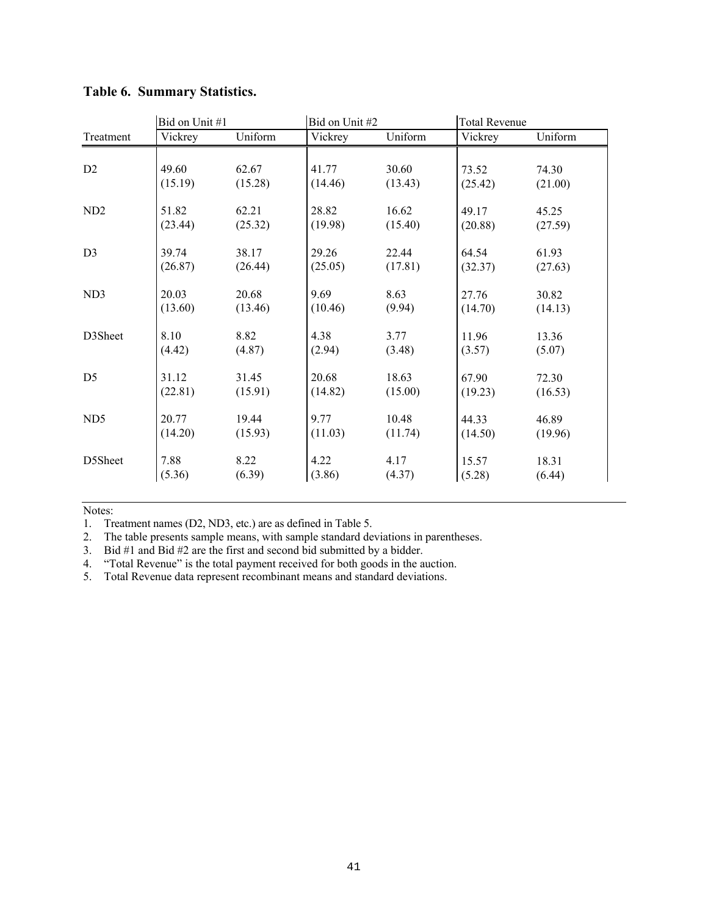|                 | Bid on Unit #1 |         | Bid on Unit #2 |         | <b>Total Revenue</b> |         |
|-----------------|----------------|---------|----------------|---------|----------------------|---------|
| Treatment       | Vickrey        | Uniform | Vickrey        | Uniform | Vickrey              | Uniform |
|                 |                |         |                |         |                      |         |
| D <sub>2</sub>  | 49.60          | 62.67   | 41.77          | 30.60   | 73.52                | 74.30   |
|                 | (15.19)        | (15.28) | (14.46)        | (13.43) | (25.42)              | (21.00) |
| ND <sub>2</sub> | 51.82          | 62.21   | 28.82          | 16.62   | 49.17                | 45.25   |
|                 | (23.44)        | (25.32) | (19.98)        | (15.40) | (20.88)              | (27.59) |
| D <sub>3</sub>  | 39.74          | 38.17   | 29.26          | 22.44   | 64.54                | 61.93   |
|                 | (26.87)        | (26.44) | (25.05)        | (17.81) | (32.37)              | (27.63) |
| ND3             | 20.03          | 20.68   | 9.69           | 8.63    | 27.76                | 30.82   |
|                 | (13.60)        | (13.46) | (10.46)        | (9.94)  | (14.70)              | (14.13) |
| D3Sheet         | 8.10           | 8.82    | 4.38           | 3.77    | 11.96                | 13.36   |
|                 | (4.42)         | (4.87)  | (2.94)         | (3.48)  | (3.57)               | (5.07)  |
| D <sub>5</sub>  | 31.12          | 31.45   | 20.68          | 18.63   | 67.90                | 72.30   |
|                 | (22.81)        | (15.91) | (14.82)        | (15.00) | (19.23)              | (16.53) |
| ND <sub>5</sub> | 20.77          | 19.44   | 9.77           | 10.48   | 44.33                | 46.89   |
|                 | (14.20)        | (15.93) | (11.03)        | (11.74) | (14.50)              | (19.96) |
| D5Sheet         | 7.88           | 8.22    | 4.22           | 4.17    | 15.57                | 18.31   |
|                 | (5.36)         | (6.39)  | (3.86)         | (4.37)  | (5.28)               | (6.44)  |

# **Table 6. Summary Statistics.**

Notes:

1. Treatment names (D2, ND3, etc.) are as defined in Table 5.

2. The table presents sample means, with sample standard deviations in parentheses.

3. Bid #1 and Bid #2 are the first and second bid submitted by a bidder.

4. "Total Revenue" is the total payment received for both goods in the auction.

5. Total Revenue data represent recombinant means and standard deviations.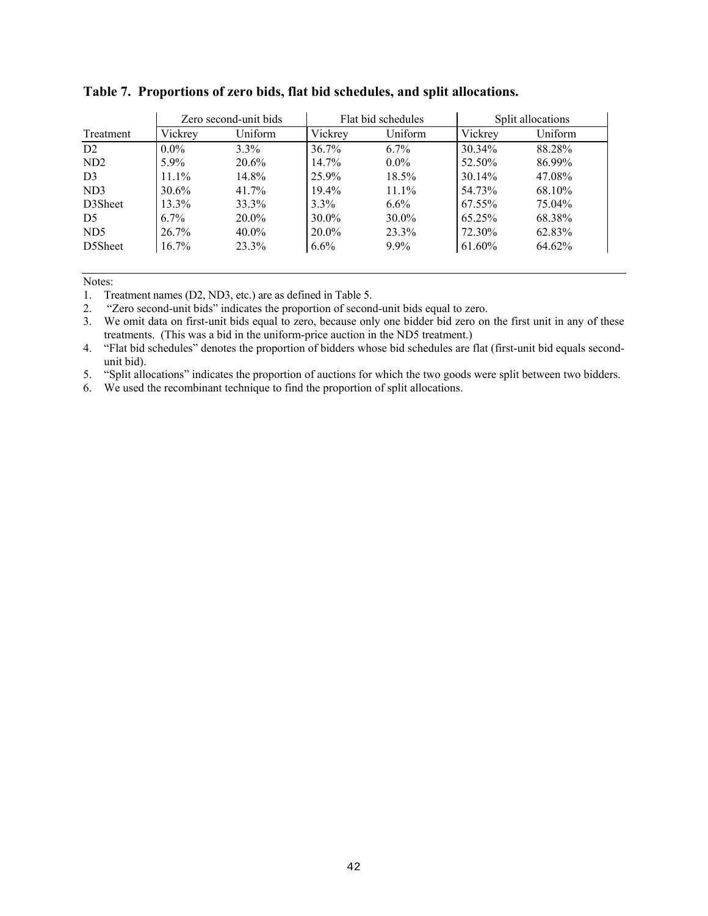|                 |          | Zero second-unit bids |          | Flat bid schedules |           | Split allocations |  |  |
|-----------------|----------|-----------------------|----------|--------------------|-----------|-------------------|--|--|
| Treatment       | Vickrey  | Uniform               | Vickrey  | Uniform            | Vickrey   | Uniform           |  |  |
| D2              | $0.0\%$  | $3.3\%$               | $36.7\%$ | $6.7\%$            | 30.34%    | 88.28%            |  |  |
| ND <sub>2</sub> | $5.9\%$  | $20.6\%$              | 14.7%    | $0.0\%$            | 52.50%    | 86.99%            |  |  |
| D <sub>3</sub>  | $11.1\%$ | 14.8%                 | 25.9%    | 18.5%              | 30.14%    | 47.08%            |  |  |
| ND3             | $30.6\%$ | $41.7\%$              | $19.4\%$ | $11.1\%$           | 54.73%    | 68.10%            |  |  |
| D3Sheet         | $13.3\%$ | 33.3%                 | $3.3\%$  | $6.6\%$            | 67.55%    | 75.04%            |  |  |
| D <sub>5</sub>  | $6.7\%$  | $20.0\%$              | $30.0\%$ | $30.0\%$           | $65.25\%$ | 68.38%            |  |  |
| ND <sub>5</sub> | 26.7%    | $40.0\%$              | $20.0\%$ | 23.3%              | 72.30%    | 62.83%            |  |  |
| D5Sheet         | $16.7\%$ | 23.3%                 | $6.6\%$  | $9.9\%$            | 61.60%    | 64.62%            |  |  |
|                 |          |                       |          |                    |           |                   |  |  |

## **Table 7. Proportions of zero bids, flat bid schedules, and split allocations.**

Notes:

1. Treatment names (D2, ND3, etc.) are as defined in Table 5.

2. "Zero second-unit bids" indicates the proportion of second-unit bids equal to zero.

3. We omit data on first-unit bids equal to zero, because only one bidder bid zero on the first unit in any of these treatments. (This was a bid in the uniform-price auction in the ND5 treatment.)

4. "Flat bid schedules" denotes the proportion of bidders whose bid schedules are flat (first-unit bid equals secondunit bid).

5. "Split allocations" indicates the proportion of auctions for which the two goods were split between two bidders.

6. We used the recombinant technique to find the proportion of split allocations.